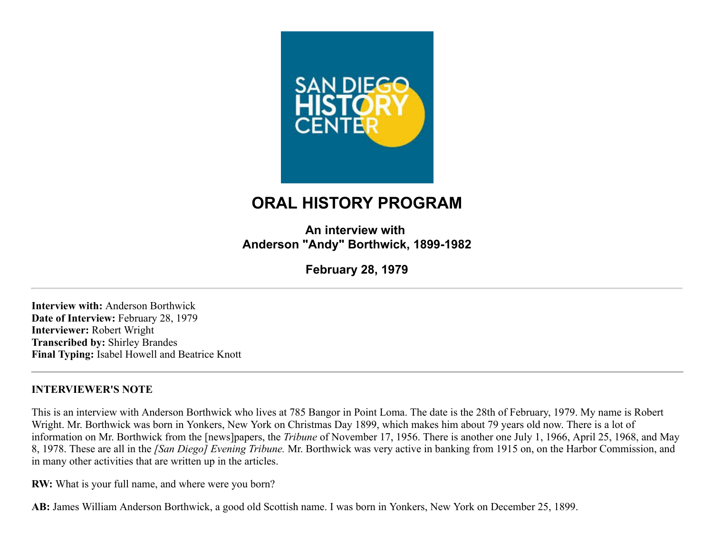

# **ORAL HISTORY PROGRAM**

**An interview with Anderson "Andy" Borthwick, 1899-1982**

**February 28, 1979**

**Interview with:** Anderson Borthwick **Date of Interview:** February 28, 1979 **Interviewer:** Robert Wright **Transcribed by:** Shirley Brandes **Final Typing:** Isabel Howell and Beatrice Knott

#### **INTERVIEWER'S NOTE**

This is an interview with Anderson Borthwick who lives at 785 Bangor in Point Loma. The date is the 28th of February, 1979. My name is Robert Wright. Mr. Borthwick was born in Yonkers, New York on Christmas Day 1899, which makes him about 79 years old now. There is a lot of information on Mr. Borthwick from the [news]papers, the *Tribune* of November 17, 1956. There is another one July 1, 1966, April 25, 1968, and May 8, 1978. These are all in the *[San Diego] Evening Tribune.* Mr. Borthwick was very active in banking from 1915 on, on the Harbor Commission, and in many other activities that are written up in the articles.

**RW:** What is your full name, and where were you born?

**AB:** James William Anderson Borthwick, a good old Scottish name. I was born in Yonkers, New York on December 25, 1899.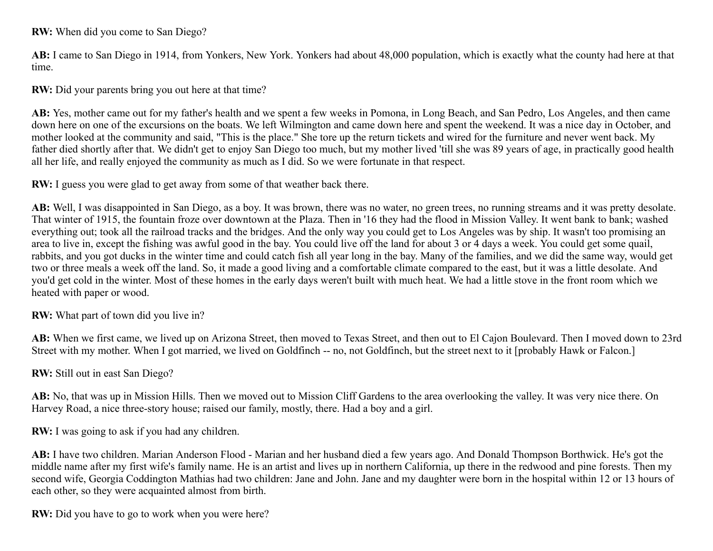#### **RW:** When did you come to San Diego?

**AB:** I came to San Diego in 1914, from Yonkers, New York. Yonkers had about 48,000 population, which is exactly what the county had here at that time.

**RW:** Did your parents bring you out here at that time?

**AB:** Yes, mother came out for my father's health and we spent a few weeks in Pomona, in Long Beach, and San Pedro, Los Angeles, and then came down here on one of the excursions on the boats. We left Wilmington and came down here and spent the weekend. It was a nice day in October, and mother looked at the community and said, "This is the place." She tore up the return tickets and wired for the furniture and never went back. My father died shortly after that. We didn't get to enjoy San Diego too much, but my mother lived 'till she was 89 years of age, in practically good health all her life, and really enjoyed the community as much as I did. So we were fortunate in that respect.

**RW:** I guess you were glad to get away from some of that weather back there.

**AB:** Well, I was disappointed in San Diego, as a boy. It was brown, there was no water, no green trees, no running streams and it was pretty desolate. That winter of 1915, the fountain froze over downtown at the Plaza. Then in '16 they had the flood in Mission Valley. It went bank to bank; washed everything out; took all the railroad tracks and the bridges. And the only way you could get to Los Angeles was by ship. It wasn't too promising an area to live in, except the fishing was awful good in the bay. You could live off the land for about 3 or 4 days a week. You could get some quail, rabbits, and you got ducks in the winter time and could catch fish all year long in the bay. Many of the families, and we did the same way, would get two or three meals a week off the land. So, it made a good living and a comfortable climate compared to the east, but it was a little desolate. And you'd get cold in the winter. Most of these homes in the early days weren't built with much heat. We had a little stove in the front room which we heated with paper or wood.

**RW:** What part of town did you live in?

**AB:** When we first came, we lived up on Arizona Street, then moved to Texas Street, and then out to El Cajon Boulevard. Then I moved down to 23rd Street with my mother. When I got married, we lived on Goldfinch -- no, not Goldfinch, but the street next to it [probably Hawk or Falcon.]

**RW:** Still out in east San Diego?

**AB:** No, that was up in Mission Hills. Then we moved out to Mission Cliff Gardens to the area overlooking the valley. It was very nice there. On Harvey Road, a nice three-story house; raised our family, mostly, there. Had a boy and a girl.

**RW:** I was going to ask if you had any children.

**AB:** I have two children. Marian Anderson Flood - Marian and her husband died a few years ago. And Donald Thompson Borthwick. He's got the middle name after my first wife's family name. He is an artist and lives up in northern California, up there in the redwood and pine forests. Then my second wife, Georgia Coddington Mathias had two children: Jane and John. Jane and my daughter were born in the hospital within 12 or 13 hours of each other, so they were acquainted almost from birth.

**RW:** Did you have to go to work when you were here?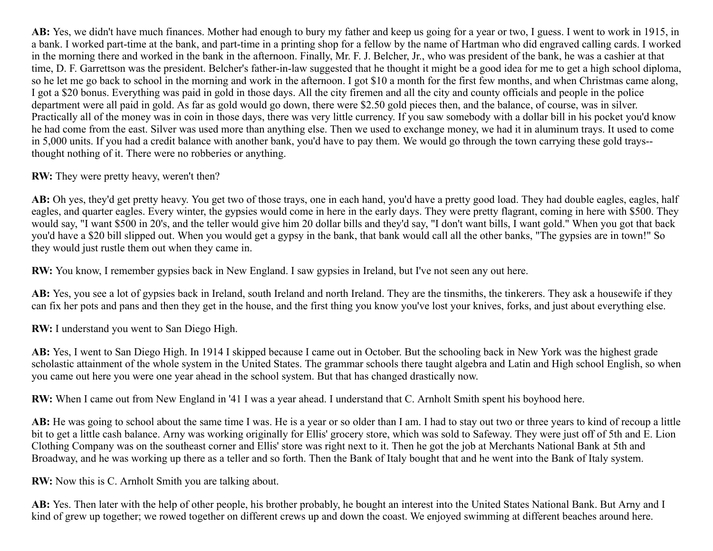**AB:** Yes, we didn't have much finances. Mother had enough to bury my father and keep us going for a year or two, I guess. I went to work in 1915, in a bank. I worked part-time at the bank, and part-time in a printing shop for a fellow by the name of Hartman who did engraved calling cards. I worked in the morning there and worked in the bank in the afternoon. Finally, Mr. F. J. Belcher, Jr., who was president of the bank, he was a cashier at that time, D. F. Garrettson was the president. Belcher's father-in-law suggested that he thought it might be a good idea for me to get a high school diploma, so he let me go back to school in the morning and work in the afternoon. I got \$10 a month for the first few months, and when Christmas came along, I got a \$20 bonus. Everything was paid in gold in those days. All the city firemen and all the city and county officials and people in the police department were all paid in gold. As far as gold would go down, there were \$2.50 gold pieces then, and the balance, of course, was in silver. Practically all of the money was in coin in those days, there was very little currency. If you saw somebody with a dollar bill in his pocket you'd know he had come from the east. Silver was used more than anything else. Then we used to exchange money, we had it in aluminum trays. It used to come in 5,000 units. If you had a credit balance with another bank, you'd have to pay them. We would go through the town carrying these gold trays- thought nothing of it. There were no robberies or anything.

**RW:** They were pretty heavy, weren't then?

AB: Oh yes, they'd get pretty heavy. You get two of those trays, one in each hand, you'd have a pretty good load. They had double eagles, eagles, half eagles, and quarter eagles. Every winter, the gypsies would come in here in the early days. They were pretty flagrant, coming in here with \$500. They would say, "I want \$500 in 20's, and the teller would give him 20 dollar bills and they'd say, "I don't want bills, I want gold." When you got that back you'd have a \$20 bill slipped out. When you would get a gypsy in the bank, that bank would call all the other banks, "The gypsies are in town!" So they would just rustle them out when they came in.

**RW:** You know, I remember gypsies back in New England. I saw gypsies in Ireland, but I've not seen any out here.

**AB:** Yes, you see a lot of gypsies back in Ireland, south Ireland and north Ireland. They are the tinsmiths, the tinkerers. They ask a housewife if they can fix her pots and pans and then they get in the house, and the first thing you know you've lost your knives, forks, and just about everything else.

**RW:** I understand you went to San Diego High.

**AB:** Yes, I went to San Diego High. In 1914 I skipped because I came out in October. But the schooling back in New York was the highest grade scholastic attainment of the whole system in the United States. The grammar schools there taught algebra and Latin and High school English, so when you came out here you were one year ahead in the school system. But that has changed drastically now.

**RW:** When I came out from New England in '41 I was a year ahead. I understand that C. Arnholt Smith spent his boyhood here.

AB: He was going to school about the same time I was. He is a year or so older than I am. I had to stay out two or three years to kind of recoup a little bit to get a little cash balance. Arny was working originally for Ellis' grocery store, which was sold to Safeway. They were just off of 5th and E. Lion Clothing Company was on the southeast corner and Ellis' store was right next to it. Then he got the job at Merchants National Bank at 5th and Broadway, and he was working up there as a teller and so forth. Then the Bank of Italy bought that and he went into the Bank of Italy system.

**RW:** Now this is C. Arnholt Smith you are talking about.

**AB:** Yes. Then later with the help of other people, his brother probably, he bought an interest into the United States National Bank. But Arny and I kind of grew up together; we rowed together on different crews up and down the coast. We enjoyed swimming at different beaches around here.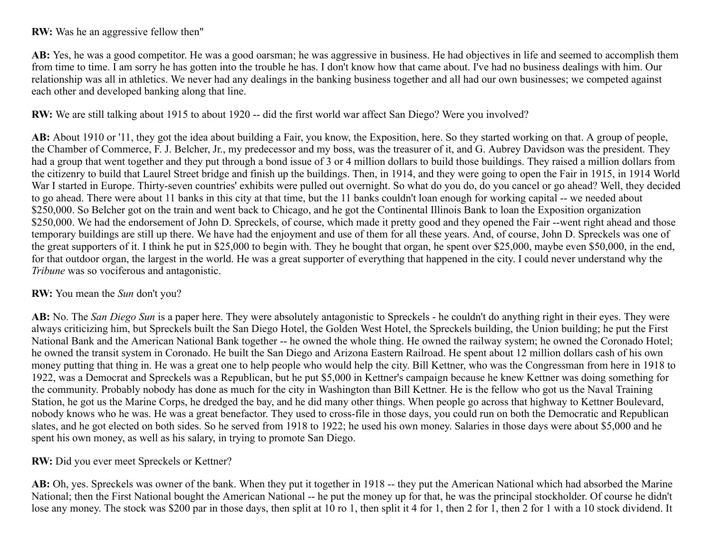**RW:** Was he an aggressive fellow then"

**AB:** Yes, he was a good competitor. He was a good oarsman; he was aggressive in business. He had objectives in life and seemed to accomplish them from time to time. I am sorry he has gotten into the trouble he has. I don't know how that came about. I've had no business dealings with him. Our relationship was all in athletics. We never had any dealings in the banking business together and all had our own businesses; we competed against each other and developed banking along that line.

**RW:** We are still talking about 1915 to about 1920 -- did the first world war affect San Diego? Were you involved?

**AB:** About 1910 or '11, they got the idea about building a Fair, you know, the Exposition, here. So they started working on that. A group of people, the Chamber of Commerce, F. J. Belcher, Jr., my predecessor and my boss, was the treasurer of it, and G. Aubrey Davidson was the president. They had a group that went together and they put through a bond issue of 3 or 4 million dollars to build those buildings. They raised a million dollars from the citizenry to build that Laurel Street bridge and finish up the buildings. Then, in 1914, and they were going to open the Fair in 1915, in 1914 World War I started in Europe. Thirty-seven countries' exhibits were pulled out overnight. So what do you do, do you cancel or go ahead? Well, they decided to go ahead. There were about 11 banks in this city at that time, but the 11 banks couldn't loan enough for working capital -- we needed about \$250,000. So Belcher got on the train and went back to Chicago, and he got the Continental Illinois Bank to loan the Exposition organization \$250,000. We had the endorsement of John D. Spreckels, of course, which made it pretty good and they opened the Fair --went right ahead and those temporary buildings are still up there. We have had the enjoyment and use of them for all these years. And, of course, John D. Spreckels was one of the great supporters of it. I think he put in \$25,000 to begin with. They he bought that organ, he spent over \$25,000, maybe even \$50,000, in the end, for that outdoor organ, the largest in the world. He was a great supporter of everything that happened in the city. I could never understand why the *Tribune* was so vociferous and antagonistic.

#### **RW:** You mean the *Sun* don't you?

**AB:** No. The *San Diego Sun* is a paper here. They were absolutely antagonistic to Spreckels - he couldn't do anything right in their eyes. They were always criticizing him, but Spreckels built the San Diego Hotel, the Golden West Hotel, the Spreckels building, the Union building; he put the First National Bank and the American National Bank together -- he owned the whole thing. He owned the railway system; he owned the Coronado Hotel; he owned the transit system in Coronado. He built the San Diego and Arizona Eastern Railroad. He spent about 12 million dollars cash of his own money putting that thing in. He was a great one to help people who would help the city. Bill Kettner, who was the Congressman from here in 1918 to 1922, was a Democrat and Spreckels was a Republican, but he put \$5,000 in Kettner's campaign because he knew Kettner was doing something for the community. Probably nobody has done as much for the city in Washington than Bill Kettner. He is the fellow who got us the Naval Training Station, he got us the Marine Corps, he dredged the bay, and he did many other things. When people go across that highway to Kettner Boulevard, nobody knows who he was. He was a great benefactor. They used to cross-file in those days, you could run on both the Democratic and Republican slates, and he got elected on both sides. So he served from 1918 to 1922; he used his own money. Salaries in those days were about \$5,000 and he spent his own money, as well as his salary, in trying to promote San Diego.

**RW:** Did you ever meet Spreckels or Kettner?

**AB:** Oh, yes. Spreckels was owner of the bank. When they put it together in 1918 -- they put the American National which had absorbed the Marine National; then the First National bought the American National -- he put the money up for that, he was the principal stockholder. Of course he didn't lose any money. The stock was \$200 par in those days, then split at 10 ro 1, then split it 4 for 1, then 2 for 1, then 2 for 1 with a 10 stock dividend. It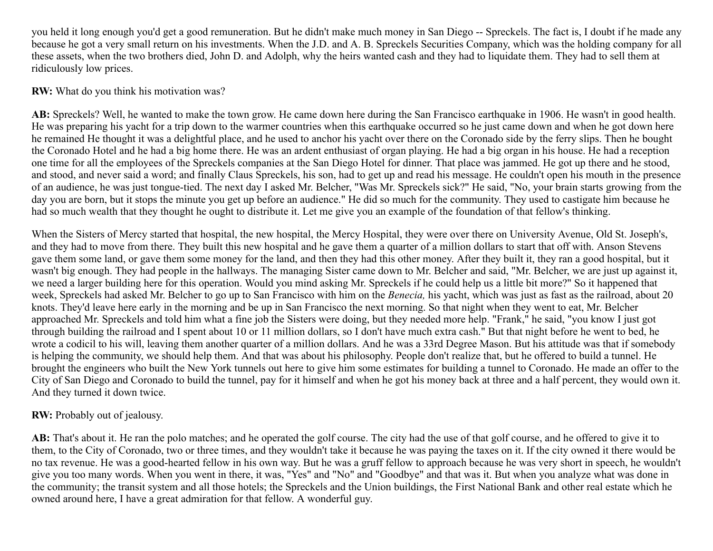you held it long enough you'd get a good remuneration. But he didn't make much money in San Diego -- Spreckels. The fact is, I doubt if he made any because he got a very small return on his investments. When the J.D. and A. B. Spreckels Securities Company, which was the holding company for all these assets, when the two brothers died, John D. and Adolph, why the heirs wanted cash and they had to liquidate them. They had to sell them at ridiculously low prices.

**RW:** What do you think his motivation was?

**AB:** Spreckels? Well, he wanted to make the town grow. He came down here during the San Francisco earthquake in 1906. He wasn't in good health. He was preparing his yacht for a trip down to the warmer countries when this earthquake occurred so he just came down and when he got down here he remained He thought it was a delightful place, and he used to anchor his yacht over there on the Coronado side by the ferry slips. Then he bought the Coronado Hotel and he had a big home there. He was an ardent enthusiast of organ playing. He had a big organ in his house. He had a reception one time for all the employees of the Spreckels companies at the San Diego Hotel for dinner. That place was jammed. He got up there and he stood, and stood, and never said a word; and finally Claus Spreckels, his son, had to get up and read his message. He couldn't open his mouth in the presence of an audience, he was just tongue-tied. The next day I asked Mr. Belcher, "Was Mr. Spreckels sick?" He said, "No, your brain starts growing from the day you are born, but it stops the minute you get up before an audience." He did so much for the community. They used to castigate him because he had so much wealth that they thought he ought to distribute it. Let me give you an example of the foundation of that fellow's thinking.

When the Sisters of Mercy started that hospital, the new hospital, the Mercy Hospital, they were over there on University Avenue, Old St. Joseph's, and they had to move from there. They built this new hospital and he gave them a quarter of a million dollars to start that off with. Anson Stevens gave them some land, or gave them some money for the land, and then they had this other money. After they built it, they ran a good hospital, but it wasn't big enough. They had people in the hallways. The managing Sister came down to Mr. Belcher and said, "Mr. Belcher, we are just up against it, we need a larger building here for this operation. Would you mind asking Mr. Spreckels if he could help us a little bit more?" So it happened that week, Spreckels had asked Mr. Belcher to go up to San Francisco with him on the *Benecia,* his yacht, which was just as fast as the railroad, about 20 knots. They'd leave here early in the morning and be up in San Francisco the next morning. So that night when they went to eat, Mr. Belcher approached Mr. Spreckels and told him what a fine job the Sisters were doing, but they needed more help. "Frank," he said, "you know I just got through building the railroad and I spent about 10 or 11 million dollars, so I don't have much extra cash." But that night before he went to bed, he wrote a codicil to his will, leaving them another quarter of a million dollars. And he was a 33rd Degree Mason. But his attitude was that if somebody is helping the community, we should help them. And that was about his philosophy. People don't realize that, but he offered to build a tunnel. He brought the engineers who built the New York tunnels out here to give him some estimates for building a tunnel to Coronado. He made an offer to the City of San Diego and Coronado to build the tunnel, pay for it himself and when he got his money back at three and a half percent, they would own it. And they turned it down twice.

## **RW:** Probably out of jealousy.

**AB:** That's about it. He ran the polo matches; and he operated the golf course. The city had the use of that golf course, and he offered to give it to them, to the City of Coronado, two or three times, and they wouldn't take it because he was paying the taxes on it. If the city owned it there would be no tax revenue. He was a good-hearted fellow in his own way. But he was a gruff fellow to approach because he was very short in speech, he wouldn't give you too many words. When you went in there, it was, "Yes" and "No" and "Goodbye" and that was it. But when you analyze what was done in the community; the transit system and all those hotels; the Spreckels and the Union buildings, the First National Bank and other real estate which he owned around here, I have a great admiration for that fellow. A wonderful guy.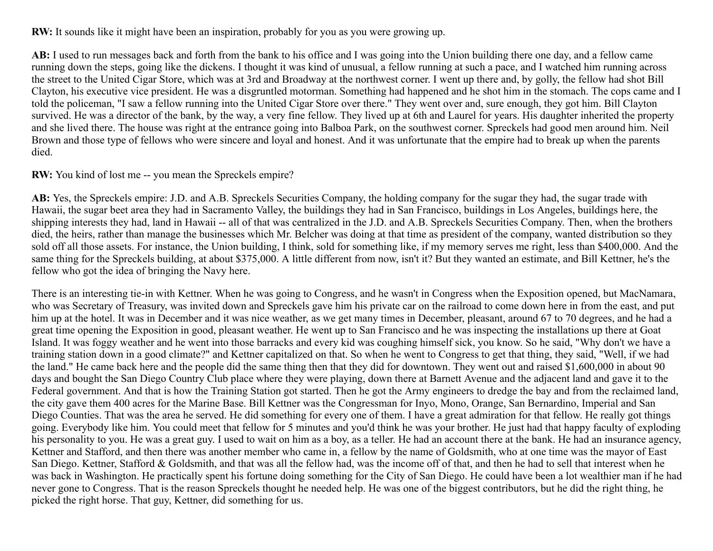**RW:** It sounds like it might have been an inspiration, probably for you as you were growing up.

**AB:** I used to run messages back and forth from the bank to his office and I was going into the Union building there one day, and a fellow came running down the steps, going like the dickens. I thought it was kind of unusual, a fellow running at such a pace, and I watched him running across the street to the United Cigar Store, which was at 3rd and Broadway at the northwest corner. I went up there and, by golly, the fellow had shot Bill Clayton, his executive vice president. He was a disgruntled motorman. Something had happened and he shot him in the stomach. The cops came and I told the policeman, "I saw a fellow running into the United Cigar Store over there." They went over and, sure enough, they got him. Bill Clayton survived. He was a director of the bank, by the way, a very fine fellow. They lived up at 6th and Laurel for years. His daughter inherited the property and she lived there. The house was right at the entrance going into Balboa Park, on the southwest corner. Spreckels had good men around him. Neil Brown and those type of fellows who were sincere and loyal and honest. And it was unfortunate that the empire had to break up when the parents died.

**RW:** You kind of lost me -- you mean the Spreckels empire?

**AB:** Yes, the Spreckels empire: J.D. and A.B. Spreckels Securities Company, the holding company for the sugar they had, the sugar trade with Hawaii, the sugar beet area they had in Sacramento Valley, the buildings they had in San Francisco, buildings in Los Angeles, buildings here, the shipping interests they had, land in Hawaii -- all of that was centralized in the J.D. and A.B. Spreckels Securities Company. Then, when the brothers died, the heirs, rather than manage the businesses which Mr. Belcher was doing at that time as president of the company, wanted distribution so they sold off all those assets. For instance, the Union building, I think, sold for something like, if my memory serves me right, less than \$400,000. And the same thing for the Spreckels building, at about \$375,000. A little different from now, isn't it? But they wanted an estimate, and Bill Kettner, he's the fellow who got the idea of bringing the Navy here.

There is an interesting tie-in with Kettner. When he was going to Congress, and he wasn't in Congress when the Exposition opened, but MacNamara, who was Secretary of Treasury, was invited down and Spreckels gave him his private car on the railroad to come down here in from the east, and put him up at the hotel. It was in December and it was nice weather, as we get many times in December, pleasant, around 67 to 70 degrees, and he had a great time opening the Exposition in good, pleasant weather. He went up to San Francisco and he was inspecting the installations up there at Goat Island. It was foggy weather and he went into those barracks and every kid was coughing himself sick, you know. So he said, "Why don't we have a training station down in a good climate?" and Kettner capitalized on that. So when he went to Congress to get that thing, they said, "Well, if we had the land." He came back here and the people did the same thing then that they did for downtown. They went out and raised \$1,600,000 in about 90 days and bought the San Diego Country Club place where they were playing, down there at Barnett Avenue and the adjacent land and gave it to the Federal government. And that is how the Training Station got started. Then he got the Army engineers to dredge the bay and from the reclaimed land, the city gave them 400 acres for the Marine Base. Bill Kettner was the Congressman for Inyo, Mono, Orange, San Bernardino, Imperial and San Diego Counties. That was the area he served. He did something for every one of them. I have a great admiration for that fellow. He really got things going. Everybody like him. You could meet that fellow for 5 minutes and you'd think he was your brother. He just had that happy faculty of exploding his personality to you. He was a great guy. I used to wait on him as a boy, as a teller. He had an account there at the bank. He had an insurance agency, Kettner and Stafford, and then there was another member who came in, a fellow by the name of Goldsmith, who at one time was the mayor of East San Diego. Kettner, Stafford & Goldsmith, and that was all the fellow had, was the income off of that, and then he had to sell that interest when he was back in Washington. He practically spent his fortune doing something for the City of San Diego. He could have been a lot wealthier man if he had never gone to Congress. That is the reason Spreckels thought he needed help. He was one of the biggest contributors, but he did the right thing, he picked the right horse. That guy, Kettner, did something for us.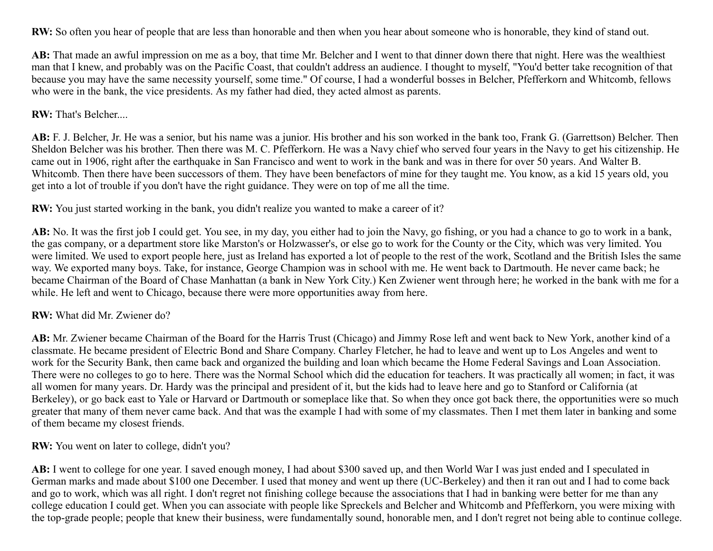**RW:** So often you hear of people that are less than honorable and then when you hear about someone who is honorable, they kind of stand out.

**AB:** That made an awful impression on me as a boy, that time Mr. Belcher and I went to that dinner down there that night. Here was the wealthiest man that I knew, and probably was on the Pacific Coast, that couldn't address an audience. I thought to myself, "You'd better take recognition of that because you may have the same necessity yourself, some time." Of course, I had a wonderful bosses in Belcher, Pfefferkorn and Whitcomb, fellows who were in the bank, the vice presidents. As my father had died, they acted almost as parents.

#### **RW:** That's Belcher....

**AB:** F. J. Belcher, Jr. He was a senior, but his name was a junior. His brother and his son worked in the bank too, Frank G. (Garrettson) Belcher. Then Sheldon Belcher was his brother. Then there was M. C. Pfefferkorn. He was a Navy chief who served four years in the Navy to get his citizenship. He came out in 1906, right after the earthquake in San Francisco and went to work in the bank and was in there for over 50 years. And Walter B. Whitcomb. Then there have been successors of them. They have been benefactors of mine for they taught me. You know, as a kid 15 years old, you get into a lot of trouble if you don't have the right guidance. They were on top of me all the time.

**RW:** You just started working in the bank, you didn't realize you wanted to make a career of it?

**AB:** No. It was the first job I could get. You see, in my day, you either had to join the Navy, go fishing, or you had a chance to go to work in a bank, the gas company, or a department store like Marston's or Holzwasser's, or else go to work for the County or the City, which was very limited. You were limited. We used to export people here, just as Ireland has exported a lot of people to the rest of the work, Scotland and the British Isles the same way. We exported many boys. Take, for instance, George Champion was in school with me. He went back to Dartmouth. He never came back; he became Chairman of the Board of Chase Manhattan (a bank in New York City.) Ken Zwiener went through here; he worked in the bank with me for a while. He left and went to Chicago, because there were more opportunities away from here.

## **RW:** What did Mr. Zwiener do?

**AB:** Mr. Zwiener became Chairman of the Board for the Harris Trust (Chicago) and Jimmy Rose left and went back to New York, another kind of a classmate. He became president of Electric Bond and Share Company. Charley Fletcher, he had to leave and went up to Los Angeles and went to work for the Security Bank, then came back and organized the building and loan which became the Home Federal Savings and Loan Association. There were no colleges to go to here. There was the Normal School which did the education for teachers. It was practically all women; in fact, it was all women for many years. Dr. Hardy was the principal and president of it, but the kids had to leave here and go to Stanford or California (at Berkeley), or go back east to Yale or Harvard or Dartmouth or someplace like that. So when they once got back there, the opportunities were so much greater that many of them never came back. And that was the example I had with some of my classmates. Then I met them later in banking and some of them became my closest friends.

**RW:** You went on later to college, didn't you?

**AB:** I went to college for one year. I saved enough money, I had about \$300 saved up, and then World War I was just ended and I speculated in German marks and made about \$100 one December. I used that money and went up there (UC-Berkeley) and then it ran out and I had to come back and go to work, which was all right. I don't regret not finishing college because the associations that I had in banking were better for me than any college education I could get. When you can associate with people like Spreckels and Belcher and Whitcomb and Pfefferkorn, you were mixing with the top-grade people; people that knew their business, were fundamentally sound, honorable men, and I don't regret not being able to continue college.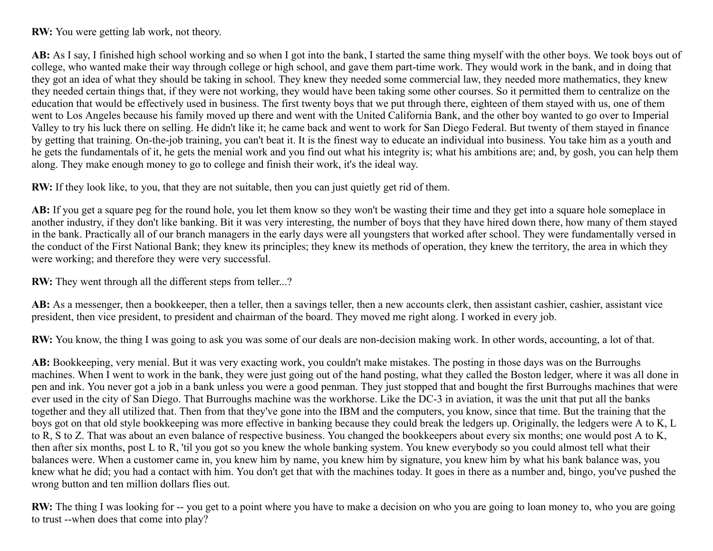**RW:** You were getting lab work, not theory.

**AB:** As I say, I finished high school working and so when I got into the bank, I started the same thing myself with the other boys. We took boys out of college, who wanted make their way through college or high school, and gave them part-time work. They would work in the bank, and in doing that they got an idea of what they should be taking in school. They knew they needed some commercial law, they needed more mathematics, they knew they needed certain things that, if they were not working, they would have been taking some other courses. So it permitted them to centralize on the education that would be effectively used in business. The first twenty boys that we put through there, eighteen of them stayed with us, one of them went to Los Angeles because his family moved up there and went with the United California Bank, and the other boy wanted to go over to Imperial Valley to try his luck there on selling. He didn't like it; he came back and went to work for San Diego Federal. But twenty of them stayed in finance by getting that training. On-the-job training, you can't beat it. It is the finest way to educate an individual into business. You take him as a youth and he gets the fundamentals of it, he gets the menial work and you find out what his integrity is; what his ambitions are; and, by gosh, you can help them along. They make enough money to go to college and finish their work, it's the ideal way.

**RW:** If they look like, to you, that they are not suitable, then you can just quietly get rid of them.

**AB:** If you get a square peg for the round hole, you let them know so they won't be wasting their time and they get into a square hole someplace in another industry, if they don't like banking. Bit it was very interesting, the number of boys that they have hired down there, how many of them stayed in the bank. Practically all of our branch managers in the early days were all youngsters that worked after school. They were fundamentally versed in the conduct of the First National Bank; they knew its principles; they knew its methods of operation, they knew the territory, the area in which they were working; and therefore they were very successful.

**RW:** They went through all the different steps from teller...?

**AB:** As a messenger, then a bookkeeper, then a teller, then a savings teller, then a new accounts clerk, then assistant cashier, cashier, assistant vice president, then vice president, to president and chairman of the board. They moved me right along. I worked in every job.

**RW:** You know, the thing I was going to ask you was some of our deals are non-decision making work. In other words, accounting, a lot of that.

**AB:** Bookkeeping, very menial. But it was very exacting work, you couldn't make mistakes. The posting in those days was on the Burroughs machines. When I went to work in the bank, they were just going out of the hand posting, what they called the Boston ledger, where it was all done in pen and ink. You never got a job in a bank unless you were a good penman. They just stopped that and bought the first Burroughs machines that were ever used in the city of San Diego. That Burroughs machine was the workhorse. Like the DC-3 in aviation, it was the unit that put all the banks together and they all utilized that. Then from that they've gone into the IBM and the computers, you know, since that time. But the training that the boys got on that old style bookkeeping was more effective in banking because they could break the ledgers up. Originally, the ledgers were A to K, L to R, S to Z. That was about an even balance of respective business. You changed the bookkeepers about every six months; one would post A to K, then after six months, post L to R, 'til you got so you knew the whole banking system. You knew everybody so you could almost tell what their balances were. When a customer came in, you knew him by name, you knew him by signature, you knew him by what his bank balance was, you knew what he did; you had a contact with him. You don't get that with the machines today. It goes in there as a number and, bingo, you've pushed the wrong button and ten million dollars flies out.

**RW:** The thing I was looking for -- you get to a point where you have to make a decision on who you are going to loan money to, who you are going to trust --when does that come into play?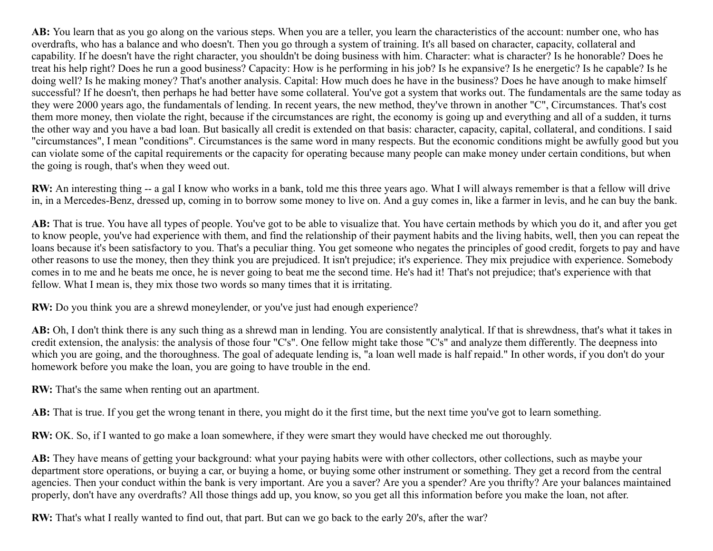**AB:** You learn that as you go along on the various steps. When you are a teller, you learn the characteristics of the account: number one, who has overdrafts, who has a balance and who doesn't. Then you go through a system of training. It's all based on character, capacity, collateral and capability. If he doesn't have the right character, you shouldn't be doing business with him. Character: what is character? Is he honorable? Does he treat his help right? Does he run a good business? Capacity: How is he performing in his job? Is he expansive? Is he energetic? Is he capable? Is he doing well? Is he making money? That's another analysis. Capital: How much does he have in the business? Does he have anough to make himself successful? If he doesn't, then perhaps he had better have some collateral. You've got a system that works out. The fundamentals are the same today as they were 2000 years ago, the fundamentals of lending. In recent years, the new method, they've thrown in another "C", Circumstances. That's cost them more money, then violate the right, because if the circumstances are right, the economy is going up and everything and all of a sudden, it turns the other way and you have a bad loan. But basically all credit is extended on that basis: character, capacity, capital, collateral, and conditions. I said "circumstances", I mean "conditions". Circumstances is the same word in many respects. But the economic conditions might be awfully good but you can violate some of the capital requirements or the capacity for operating because many people can make money under certain conditions, but when the going is rough, that's when they weed out.

**RW:** An interesting thing -- a gal I know who works in a bank, told me this three years ago. What I will always remember is that a fellow will drive in, in a Mercedes-Benz, dressed up, coming in to borrow some money to live on. And a guy comes in, like a farmer in levis, and he can buy the bank.

**AB:** That is true. You have all types of people. You've got to be able to visualize that. You have certain methods by which you do it, and after you get to know people, you've had experience with them, and find the relationship of their payment habits and the living habits, well, then you can repeat the loans because it's been satisfactory to you. That's a peculiar thing. You get someone who negates the principles of good credit, forgets to pay and have other reasons to use the money, then they think you are prejudiced. It isn't prejudice; it's experience. They mix prejudice with experience. Somebody comes in to me and he beats me once, he is never going to beat me the second time. He's had it! That's not prejudice; that's experience with that fellow. What I mean is, they mix those two words so many times that it is irritating.

**RW:** Do you think you are a shrewd moneylender, or you've just had enough experience?

AB: Oh, I don't think there is any such thing as a shrewd man in lending. You are consistently analytical. If that is shrewdness, that's what it takes in credit extension, the analysis: the analysis of those four "C's". One fellow might take those "C's" and analyze them differently. The deepness into which you are going, and the thoroughness. The goal of adequate lending is, "a loan well made is half repaid." In other words, if you don't do your homework before you make the loan, you are going to have trouble in the end.

**RW:** That's the same when renting out an apartment.

AB: That is true. If you get the wrong tenant in there, you might do it the first time, but the next time you've got to learn something.

**RW:** OK. So, if I wanted to go make a loan somewhere, if they were smart they would have checked me out thoroughly.

**AB:** They have means of getting your background: what your paying habits were with other collectors, other collections, such as maybe your department store operations, or buying a car, or buying a home, or buying some other instrument or something. They get a record from the central agencies. Then your conduct within the bank is very important. Are you a saver? Are you a spender? Are you thrifty? Are your balances maintained properly, don't have any overdrafts? All those things add up, you know, so you get all this information before you make the loan, not after.

**RW:** That's what I really wanted to find out, that part. But can we go back to the early 20's, after the war?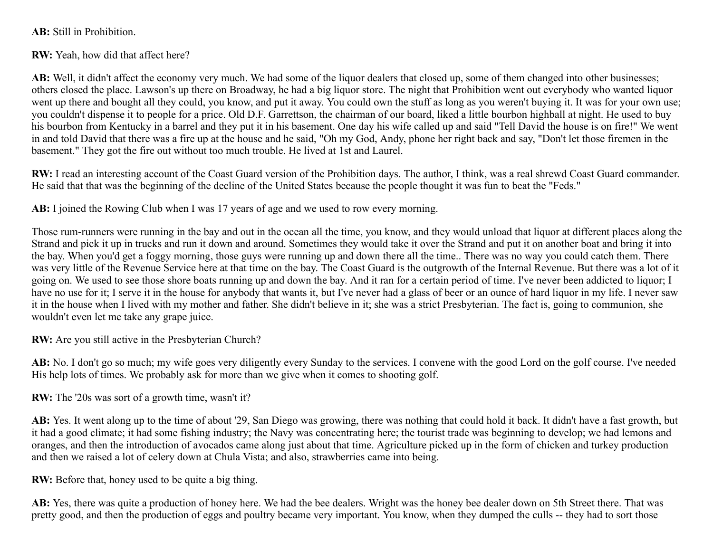**AB:** Still in Prohibition.

**RW:** Yeah, how did that affect here?

**AB:** Well, it didn't affect the economy very much. We had some of the liquor dealers that closed up, some of them changed into other businesses; others closed the place. Lawson's up there on Broadway, he had a big liquor store. The night that Prohibition went out everybody who wanted liquor went up there and bought all they could, you know, and put it away. You could own the stuff as long as you weren't buying it. It was for your own use; you couldn't dispense it to people for a price. Old D.F. Garrettson, the chairman of our board, liked a little bourbon highball at night. He used to buy his bourbon from Kentucky in a barrel and they put it in his basement. One day his wife called up and said "Tell David the house is on fire!" We went in and told David that there was a fire up at the house and he said, "Oh my God, Andy, phone her right back and say, "Don't let those firemen in the basement." They got the fire out without too much trouble. He lived at 1st and Laurel.

**RW:** I read an interesting account of the Coast Guard version of the Prohibition days. The author, I think, was a real shrewd Coast Guard commander. He said that that was the beginning of the decline of the United States because the people thought it was fun to beat the "Feds."

**AB:** I joined the Rowing Club when I was 17 years of age and we used to row every morning.

Those rum-runners were running in the bay and out in the ocean all the time, you know, and they would unload that liquor at different places along the Strand and pick it up in trucks and run it down and around. Sometimes they would take it over the Strand and put it on another boat and bring it into the bay. When you'd get a foggy morning, those guys were running up and down there all the time.. There was no way you could catch them. There was very little of the Revenue Service here at that time on the bay. The Coast Guard is the outgrowth of the Internal Revenue. But there was a lot of it going on. We used to see those shore boats running up and down the bay. And it ran for a certain period of time. I've never been addicted to liquor; I have no use for it; I serve it in the house for anybody that wants it, but I've never had a glass of beer or an ounce of hard liquor in my life. I never saw it in the house when I lived with my mother and father. She didn't believe in it; she was a strict Presbyterian. The fact is, going to communion, she wouldn't even let me take any grape juice.

**RW:** Are you still active in the Presbyterian Church?

AB: No. I don't go so much; my wife goes very diligently every Sunday to the services. I convene with the good Lord on the golf course. I've needed His help lots of times. We probably ask for more than we give when it comes to shooting golf.

**RW:** The '20s was sort of a growth time, wasn't it?

**AB:** Yes. It went along up to the time of about '29, San Diego was growing, there was nothing that could hold it back. It didn't have a fast growth, but it had a good climate; it had some fishing industry; the Navy was concentrating here; the tourist trade was beginning to develop; we had lemons and oranges, and then the introduction of avocados came along just about that time. Agriculture picked up in the form of chicken and turkey production and then we raised a lot of celery down at Chula Vista; and also, strawberries came into being.

**RW:** Before that, honey used to be quite a big thing.

**AB:** Yes, there was quite a production of honey here. We had the bee dealers. Wright was the honey bee dealer down on 5th Street there. That was pretty good, and then the production of eggs and poultry became very important. You know, when they dumped the culls -- they had to sort those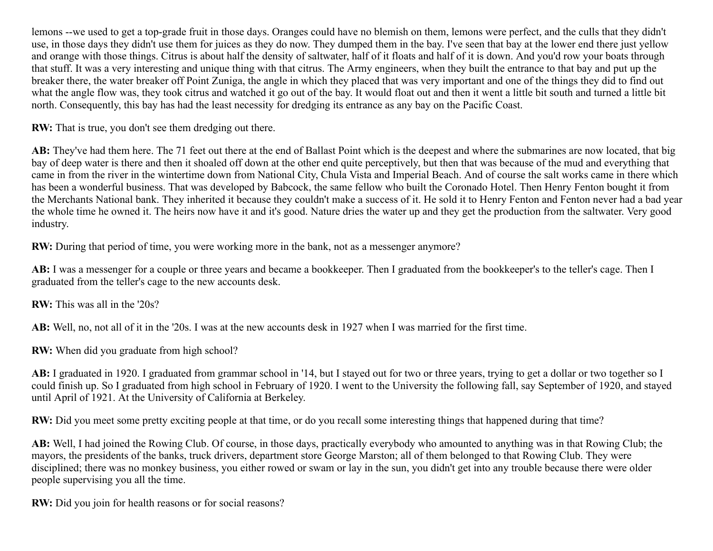lemons --we used to get a top-grade fruit in those days. Oranges could have no blemish on them, lemons were perfect, and the culls that they didn't use, in those days they didn't use them for juices as they do now. They dumped them in the bay. I've seen that bay at the lower end there just yellow and orange with those things. Citrus is about half the density of saltwater, half of it floats and half of it is down. And you'd row your boats through that stuff. It was a very interesting and unique thing with that citrus. The Army engineers, when they built the entrance to that bay and put up the breaker there, the water breaker off Point Zuniga, the angle in which they placed that was very important and one of the things they did to find out what the angle flow was, they took citrus and watched it go out of the bay. It would float out and then it went a little bit south and turned a little bit north. Consequently, this bay has had the least necessity for dredging its entrance as any bay on the Pacific Coast.

**RW:** That is true, you don't see them dredging out there.

**AB:** They've had them here. The 71 feet out there at the end of Ballast Point which is the deepest and where the submarines are now located, that big bay of deep water is there and then it shoaled off down at the other end quite perceptively, but then that was because of the mud and everything that came in from the river in the wintertime down from National City, Chula Vista and Imperial Beach. And of course the salt works came in there which has been a wonderful business. That was developed by Babcock, the same fellow who built the Coronado Hotel. Then Henry Fenton bought it from the Merchants National bank. They inherited it because they couldn't make a success of it. He sold it to Henry Fenton and Fenton never had a bad year the whole time he owned it. The heirs now have it and it's good. Nature dries the water up and they get the production from the saltwater. Very good industry.

**RW:** During that period of time, you were working more in the bank, not as a messenger anymore?

AB: I was a messenger for a couple or three years and became a bookkeeper. Then I graduated from the bookkeeper's to the teller's cage. Then I graduated from the teller's cage to the new accounts desk.

**RW:** This was all in the '20s?

**AB:** Well, no, not all of it in the '20s. I was at the new accounts desk in 1927 when I was married for the first time.

**RW:** When did you graduate from high school?

**AB:** I graduated in 1920. I graduated from grammar school in '14, but I stayed out for two or three years, trying to get a dollar or two together so I could finish up. So I graduated from high school in February of 1920. I went to the University the following fall, say September of 1920, and stayed until April of 1921. At the University of California at Berkeley.

**RW:** Did you meet some pretty exciting people at that time, or do you recall some interesting things that happened during that time?

**AB:** Well, I had joined the Rowing Club. Of course, in those days, practically everybody who amounted to anything was in that Rowing Club; the mayors, the presidents of the banks, truck drivers, department store George Marston; all of them belonged to that Rowing Club. They were disciplined; there was no monkey business, you either rowed or swam or lay in the sun, you didn't get into any trouble because there were older people supervising you all the time.

**RW:** Did you join for health reasons or for social reasons?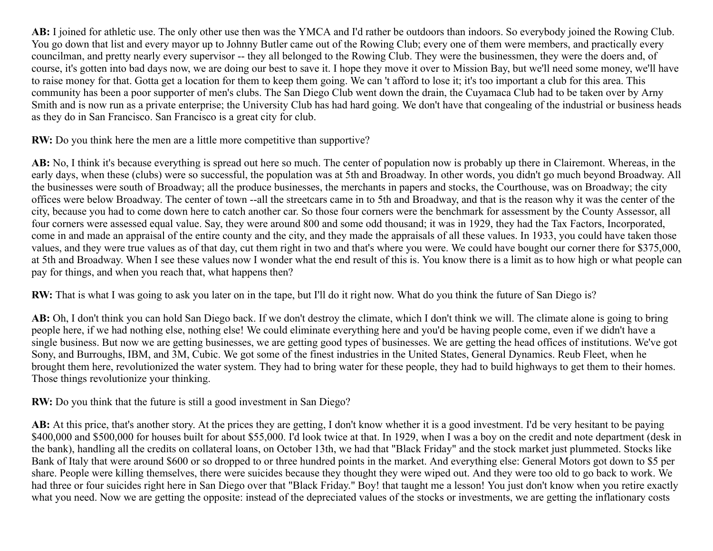**AB:** I joined for athletic use. The only other use then was the YMCA and I'd rather be outdoors than indoors. So everybody joined the Rowing Club. You go down that list and every mayor up to Johnny Butler came out of the Rowing Club; every one of them were members, and practically every councilman, and pretty nearly every supervisor -- they all belonged to the Rowing Club. They were the businessmen, they were the doers and, of course, it's gotten into bad days now, we are doing our best to save it. I hope they move it over to Mission Bay, but we'll need some money, we'll have to raise money for that. Gotta get a location for them to keep them going. We can 't afford to lose it; it's too important a club for this area. This community has been a poor supporter of men's clubs. The San Diego Club went down the drain, the Cuyamaca Club had to be taken over by Arny Smith and is now run as a private enterprise; the University Club has had hard going. We don't have that congealing of the industrial or business heads as they do in San Francisco. San Francisco is a great city for club.

**RW:** Do you think here the men are a little more competitive than supportive?

**AB:** No, I think it's because everything is spread out here so much. The center of population now is probably up there in Clairemont. Whereas, in the early days, when these (clubs) were so successful, the population was at 5th and Broadway. In other words, you didn't go much beyond Broadway. All the businesses were south of Broadway; all the produce businesses, the merchants in papers and stocks, the Courthouse, was on Broadway; the city offices were below Broadway. The center of town --all the streetcars came in to 5th and Broadway, and that is the reason why it was the center of the city, because you had to come down here to catch another car. So those four corners were the benchmark for assessment by the County Assessor, all four corners were assessed equal value. Say, they were around 800 and some odd thousand; it was in 1929, they had the Tax Factors, Incorporated, come in and made an appraisal of the entire county and the city, and they made the appraisals of all these values. In 1933, you could have taken those values, and they were true values as of that day, cut them right in two and that's where you were. We could have bought our corner there for \$375,000, at 5th and Broadway. When I see these values now I wonder what the end result of this is. You know there is a limit as to how high or what people can pay for things, and when you reach that, what happens then?

**RW:** That is what I was going to ask you later on in the tape, but I'll do it right now. What do you think the future of San Diego is?

**AB:** Oh, I don't think you can hold San Diego back. If we don't destroy the climate, which I don't think we will. The climate alone is going to bring people here, if we had nothing else, nothing else! We could eliminate everything here and you'd be having people come, even if we didn't have a single business. But now we are getting businesses, we are getting good types of businesses. We are getting the head offices of institutions. We've got Sony, and Burroughs, IBM, and 3M, Cubic. We got some of the finest industries in the United States, General Dynamics. Reub Fleet, when he brought them here, revolutionized the water system. They had to bring water for these people, they had to build highways to get them to their homes. Those things revolutionize your thinking.

**RW:** Do you think that the future is still a good investment in San Diego?

**AB:** At this price, that's another story. At the prices they are getting, I don't know whether it is a good investment. I'd be very hesitant to be paying \$400,000 and \$500,000 for houses built for about \$55,000. I'd look twice at that. In 1929, when I was a boy on the credit and note department (desk in the bank), handling all the credits on collateral loans, on October 13th, we had that "Black Friday" and the stock market just plummeted. Stocks like Bank of Italy that were around \$600 or so dropped to or three hundred points in the market. And everything else: General Motors got down to \$5 per share. People were killing themselves, there were suicides because they thought they were wiped out. And they were too old to go back to work. We had three or four suicides right here in San Diego over that "Black Friday." Boy! that taught me a lesson! You just don't know when you retire exactly what you need. Now we are getting the opposite: instead of the depreciated values of the stocks or investments, we are getting the inflationary costs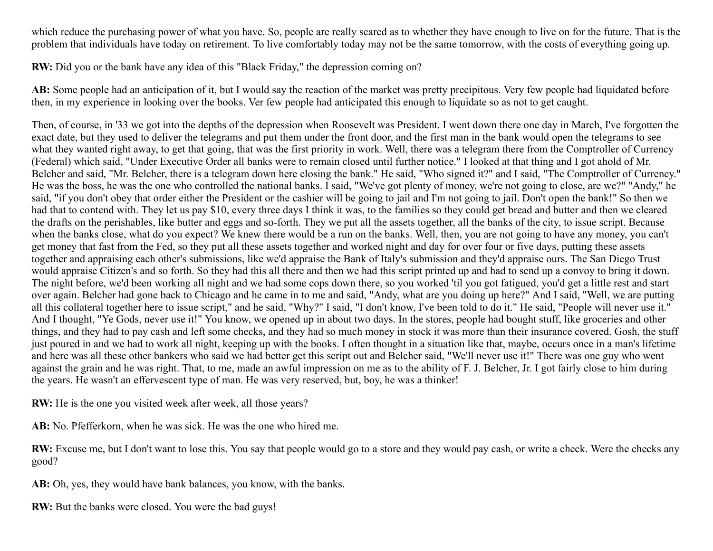which reduce the purchasing power of what you have. So, people are really scared as to whether they have enough to live on for the future. That is the problem that individuals have today on retirement. To live comfortably today may not be the same tomorrow, with the costs of everything going up.

**RW:** Did you or the bank have any idea of this "Black Friday," the depression coming on?

**AB:** Some people had an anticipation of it, but I would say the reaction of the market was pretty precipitous. Very few people had liquidated before then, in my experience in looking over the books. Ver few people had anticipated this enough to liquidate so as not to get caught.

Then, of course, in '33 we got into the depths of the depression when Roosevelt was President. I went down there one day in March, I've forgotten the exact date, but they used to deliver the telegrams and put them under the front door, and the first man in the bank would open the telegrams to see what they wanted right away, to get that going, that was the first priority in work. Well, there was a telegram there from the Comptroller of Currency (Federal) which said, "Under Executive Order all banks were to remain closed until further notice." I looked at that thing and I got ahold of Mr. Belcher and said, "Mr. Belcher, there is a telegram down here closing the bank." He said, "Who signed it?" and I said, "The Comptroller of Currency." He was the boss, he was the one who controlled the national banks. I said, "We've got plenty of money, we're not going to close, are we?" "Andy," he said, "if you don't obey that order either the President or the cashier will be going to jail and I'm not going to jail. Don't open the bank!" So then we had that to contend with. They let us pay \$10, every three days I think it was, to the families so they could get bread and butter and then we cleared the drafts on the perishables, like butter and eggs and so-forth. They we put all the assets together, all the banks of the city, to issue script. Because when the banks close, what do you expect? We knew there would be a run on the banks. Well, then, you are not going to have any money, you can't get money that fast from the Fed, so they put all these assets together and worked night and day for over four or five days, putting these assets together and appraising each other's submissions, like we'd appraise the Bank of Italy's submission and they'd appraise ours. The San Diego Trust would appraise Citizen's and so forth. So they had this all there and then we had this script printed up and had to send up a convoy to bring it down. The night before, we'd been working all night and we had some cops down there, so you worked 'til you got fatigued, you'd get a little rest and start over again. Belcher had gone back to Chicago and he came in to me and said, "Andy, what are you doing up here?" And I said, "Well, we are putting all this collateral together here to issue script," and he said, "Why?" I said, "I don't know, I've been told to do it." He said, "People will never use it." And I thought, "Ye Gods, never use it!" You know, we opened up in about two days. In the stores, people had bought stuff, like groceries and other things, and they had to pay cash and left some checks, and they had so much money in stock it was more than their insurance covered. Gosh, the stuff just poured in and we had to work all night, keeping up with the books. I often thought in a situation like that, maybe, occurs once in a man's lifetime and here was all these other bankers who said we had better get this script out and Belcher said, "We'll never use it!" There was one guy who went against the grain and he was right. That, to me, made an awful impression on me as to the ability of F. J. Belcher, Jr. I got fairly close to him during the years. He wasn't an effervescent type of man. He was very reserved, but, boy, he was a thinker!

**RW:** He is the one you visited week after week, all those years?

**AB:** No. Pfefferkorn, when he was sick. He was the one who hired me.

**RW:** Excuse me, but I don't want to lose this. You say that people would go to a store and they would pay cash, or write a check. Were the checks any good?

AB: Oh, yes, they would have bank balances, you know, with the banks.

**RW:** But the banks were closed. You were the bad guys!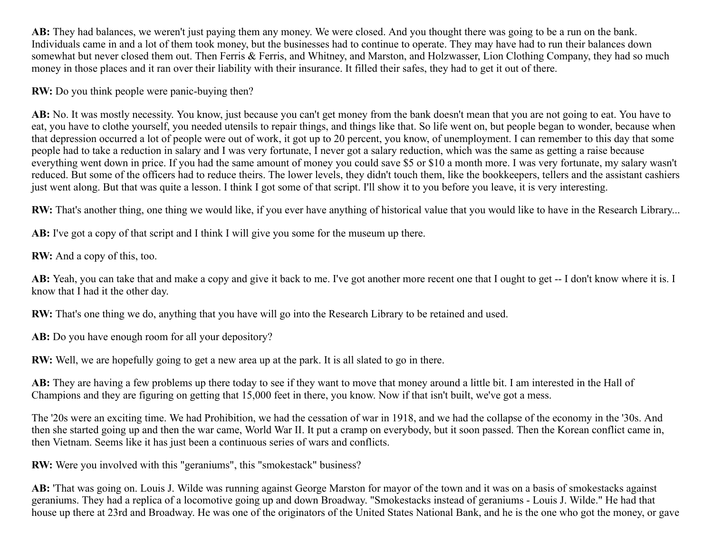**AB:** They had balances, we weren't just paying them any money. We were closed. And you thought there was going to be a run on the bank. Individuals came in and a lot of them took money, but the businesses had to continue to operate. They may have had to run their balances down somewhat but never closed them out. Then Ferris & Ferris, and Whitney, and Marston, and Holzwasser, Lion Clothing Company, they had so much money in those places and it ran over their liability with their insurance. It filled their safes, they had to get it out of there.

**RW:** Do you think people were panic-buying then?

AB: No. It was mostly necessity. You know, just because you can't get money from the bank doesn't mean that you are not going to eat. You have to eat, you have to clothe yourself, you needed utensils to repair things, and things like that. So life went on, but people began to wonder, because when that depression occurred a lot of people were out of work, it got up to 20 percent, you know, of unemployment. I can remember to this day that some people had to take a reduction in salary and I was very fortunate, I never got a salary reduction, which was the same as getting a raise because everything went down in price. If you had the same amount of money you could save \$5 or \$10 a month more. I was very fortunate, my salary wasn't reduced. But some of the officers had to reduce theirs. The lower levels, they didn't touch them, like the bookkeepers, tellers and the assistant cashiers just went along. But that was quite a lesson. I think I got some of that script. I'll show it to you before you leave, it is very interesting.

**RW:** That's another thing, one thing we would like, if you ever have anything of historical value that you would like to have in the Research Library...

**AB:** I've got a copy of that script and I think I will give you some for the museum up there.

**RW:** And a copy of this, too.

AB: Yeah, you can take that and make a copy and give it back to me. I've got another more recent one that I ought to get -- I don't know where it is. I know that I had it the other day.

**RW:** That's one thing we do, anything that you have will go into the Research Library to be retained and used.

AB: Do you have enough room for all your depository?

**RW:** Well, we are hopefully going to get a new area up at the park. It is all slated to go in there.

**AB:** They are having a few problems up there today to see if they want to move that money around a little bit. I am interested in the Hall of Champions and they are figuring on getting that 15,000 feet in there, you know. Now if that isn't built, we've got a mess.

The '20s were an exciting time. We had Prohibition, we had the cessation of war in 1918, and we had the collapse of the economy in the '30s. And then she started going up and then the war came, World War II. It put a cramp on everybody, but it soon passed. Then the Korean conflict came in, then Vietnam. Seems like it has just been a continuous series of wars and conflicts.

**RW:** Were you involved with this "geraniums", this "smokestack" business?

**AB:** 'That was going on. Louis J. Wilde was running against George Marston for mayor of the town and it was on a basis of smokestacks against geraniums. They had a replica of a locomotive going up and down Broadway. "Smokestacks instead of geraniums - Louis J. Wilde." He had that house up there at 23rd and Broadway. He was one of the originators of the United States National Bank, and he is the one who got the money, or gave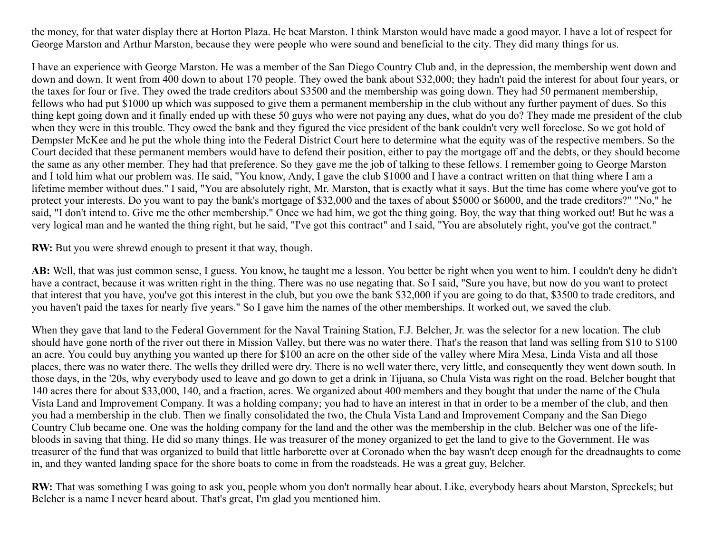the money, for that water display there at Horton Plaza. He beat Marston. I think Marston would have made a good mayor. I have a lot of respect for George Marston and Arthur Marston, because they were people who were sound and beneficial to the city. They did many things for us.

I have an experience with George Marston. He was a member of the San Diego Country Club and, in the depression, the membership went down and down and down. It went from 400 down to about 170 people. They owed the bank about \$32,000; they hadn't paid the interest for about four years, or the taxes for four or five. They owed the trade creditors about \$3500 and the membership was going down. They had 50 permanent membership, fellows who had put \$1000 up which was supposed to give them a permanent membership in the club without any further payment of dues. So this thing kept going down and it finally ended up with these 50 guys who were not paying any dues, what do you do? They made me president of the club when they were in this trouble. They owed the bank and they figured the vice president of the bank couldn't very well foreclose. So we got hold of Dempster McKee and he put the whole thing into the Federal District Court here to determine what the equity was of the respective members. So the Court decided that these permanent members would have to defend their position, either to pay the mortgage off and the debts, or they should become the same as any other member. They had that preference. So they gave me the job of talking to these fellows. I remember going to George Marston and I told him what our problem was. He said, "You know, Andy, I gave the club \$1000 and I have a contract written on that thing where I am a lifetime member without dues." I said, "You are absolutely right, Mr. Marston, that is exactly what it says. But the time has come where you've got to protect your interests. Do you want to pay the bank's mortgage of \$32,000 and the taxes of about \$5000 or \$6000, and the trade creditors?" "No," he said, "I don't intend to. Give me the other membership." Once we had him, we got the thing going. Boy, the way that thing worked out! But he was a very logical man and he wanted the thing right, but he said, "I've got this contract" and I said, "You are absolutely right, you've got the contract."

**RW:** But you were shrewd enough to present it that way, though.

**AB:** Well, that was just common sense, I guess. You know, he taught me a lesson. You better be right when you went to him. I couldn't deny he didn't have a contract, because it was written right in the thing. There was no use negating that. So I said, "Sure you have, but now do you want to protect that interest that you have, you've got this interest in the club, but you owe the bank \$32,000 if you are going to do that, \$3500 to trade creditors, and you haven't paid the taxes for nearly five years." So I gave him the names of the other memberships. It worked out, we saved the club.

When they gave that land to the Federal Government for the Naval Training Station, F.J. Belcher, Jr. was the selector for a new location. The club should have gone north of the river out there in Mission Valley, but there was no water there. That's the reason that land was selling from \$10 to \$100 an acre. You could buy anything you wanted up there for \$100 an acre on the other side of the valley where Mira Mesa, Linda Vista and all those places, there was no water there. The wells they drilled were dry. There is no well water there, very little, and consequently they went down south. In those days, in the '20s, why everybody used to leave and go down to get a drink in Tijuana, so Chula Vista was right on the road. Belcher bought that 140 acres there for about \$33,000, 140, and a fraction, acres. We organized about 400 members and they bought that under the name of the Chula Vista Land and Improvement Company. It was a holding company; you had to have an interest in that in order to be a member of the club, and then you had a membership in the club. Then we finally consolidated the two, the Chula Vista Land and Improvement Company and the San Diego Country Club became one. One was the holding company for the land and the other was the membership in the club. Belcher was one of the lifebloods in saving that thing. He did so many things. He was treasurer of the money organized to get the land to give to the Government. He was treasurer of the fund that was organized to build that little harborette over at Coronado when the bay wasn't deep enough for the dreadnaughts to come in, and they wanted landing space for the shore boats to come in from the roadsteads. He was a great guy, Belcher.

**RW:** That was something I was going to ask you, people whom you don't normally hear about. Like, everybody hears about Marston, Spreckels; but Belcher is a name I never heard about. That's great, I'm glad you mentioned him.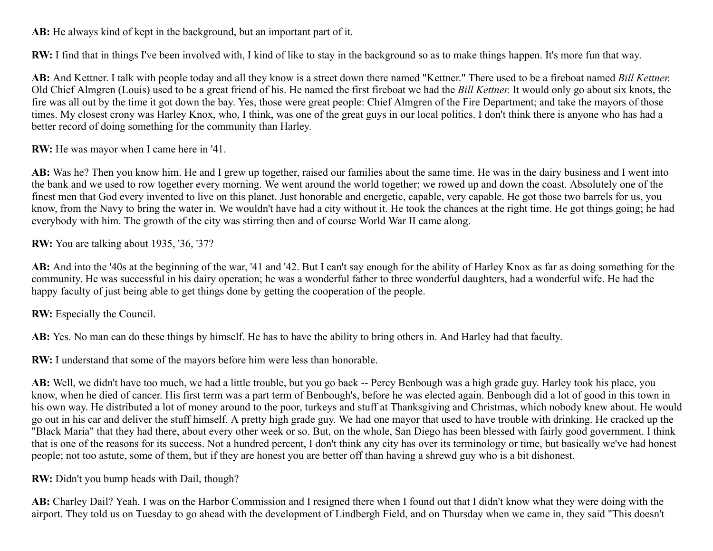**AB:** He always kind of kept in the background, but an important part of it.

**RW:** I find that in things I've been involved with, I kind of like to stay in the background so as to make things happen. It's more fun that way.

**AB:** And Kettner. I talk with people today and all they know is a street down there named "Kettner." There used to be a fireboat named *Bill Kettner.* Old Chief Almgren (Louis) used to be a great friend of his. He named the first fireboat we had the *Bill Kettner.* It would only go about six knots, the fire was all out by the time it got down the bay. Yes, those were great people: Chief Almgren of the Fire Department; and take the mayors of those times. My closest crony was Harley Knox, who, I think, was one of the great guys in our local politics. I don't think there is anyone who has had a better record of doing something for the community than Harley.

**RW:** He was mayor when I came here in '41.

**AB:** Was he? Then you know him. He and I grew up together, raised our families about the same time. He was in the dairy business and I went into the bank and we used to row together every morning. We went around the world together; we rowed up and down the coast. Absolutely one of the finest men that God every invented to live on this planet. Just honorable and energetic, capable, very capable. He got those two barrels for us, you know, from the Navy to bring the water in. We wouldn't have had a city without it. He took the chances at the right time. He got things going; he had everybody with him. The growth of the city was stirring then and of course World War II came along.

**RW:** You are talking about 1935, '36, '37?

**AB:** And into the '40s at the beginning of the war, '41 and '42. But I can't say enough for the ability of Harley Knox as far as doing something for the community. He was successful in his dairy operation; he was a wonderful father to three wonderful daughters, had a wonderful wife. He had the happy faculty of just being able to get things done by getting the cooperation of the people.

**RW:** Especially the Council.

**AB:** Yes. No man can do these things by himself. He has to have the ability to bring others in. And Harley had that faculty.

**RW:** I understand that some of the mayors before him were less than honorable.

**AB:** Well, we didn't have too much, we had a little trouble, but you go back -- Percy Benbough was a high grade guy. Harley took his place, you know, when he died of cancer. His first term was a part term of Benbough's, before he was elected again. Benbough did a lot of good in this town in his own way. He distributed a lot of money around to the poor, turkeys and stuff at Thanksgiving and Christmas, which nobody knew about. He would go out in his car and deliver the stuff himself. A pretty high grade guy. We had one mayor that used to have trouble with drinking. He cracked up the "Black Maria" that they had there, about every other week or so. But, on the whole, San Diego has been blessed with fairly good government. I think that is one of the reasons for its success. Not a hundred percent, I don't think any city has over its terminology or time, but basically we've had honest people; not too astute, some of them, but if they are honest you are better off than having a shrewd guy who is a bit dishonest.

**RW:** Didn't you bump heads with Dail, though?

**AB:** Charley Dail? Yeah. I was on the Harbor Commission and I resigned there when I found out that I didn't know what they were doing with the airport. They told us on Tuesday to go ahead with the development of Lindbergh Field, and on Thursday when we came in, they said "This doesn't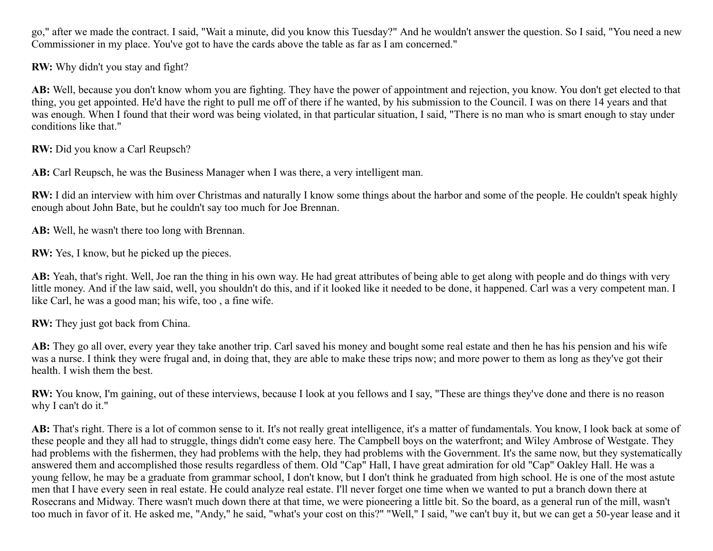go," after we made the contract. I said, "Wait a minute, did you know this Tuesday?" And he wouldn't answer the question. So I said, "You need a new Commissioner in my place. You've got to have the cards above the table as far as I am concerned."

**RW:** Why didn't you stay and fight?

**AB:** Well, because you don't know whom you are fighting. They have the power of appointment and rejection, you know. You don't get elected to that thing, you get appointed. He'd have the right to pull me off of there if he wanted, by his submission to the Council. I was on there 14 years and that was enough. When I found that their word was being violated, in that particular situation, I said, "There is no man who is smart enough to stay under conditions like that."

**RW:** Did you know a Carl Reupsch?

**AB:** Carl Reupsch, he was the Business Manager when I was there, a very intelligent man.

**RW:** I did an interview with him over Christmas and naturally I know some things about the harbor and some of the people. He couldn't speak highly enough about John Bate, but he couldn't say too much for Joe Brennan.

**AB:** Well, he wasn't there too long with Brennan.

**RW:** Yes, I know, but he picked up the pieces.

**AB:** Yeah, that's right. Well, Joe ran the thing in his own way. He had great attributes of being able to get along with people and do things with very little money. And if the law said, well, you shouldn't do this, and if it looked like it needed to be done, it happened. Carl was a very competent man. I like Carl, he was a good man; his wife, too , a fine wife.

**RW:** They just got back from China.

**AB:** They go all over, every year they take another trip. Carl saved his money and bought some real estate and then he has his pension and his wife was a nurse. I think they were frugal and, in doing that, they are able to make these trips now; and more power to them as long as they've got their health. I wish them the best.

**RW:** You know, I'm gaining, out of these interviews, because I look at you fellows and I say, "These are things they've done and there is no reason why I can't do it."

AB: That's right. There is a lot of common sense to it. It's not really great intelligence, it's a matter of fundamentals. You know, I look back at some of these people and they all had to struggle, things didn't come easy here. The Campbell boys on the waterfront; and Wiley Ambrose of Westgate. They had problems with the fishermen, they had problems with the help, they had problems with the Government. It's the same now, but they systematically answered them and accomplished those results regardless of them. Old "Cap" Hall, I have great admiration for old "Cap" Oakley Hall. He was a young fellow, he may be a graduate from grammar school, I don't know, but I don't think he graduated from high school. He is one of the most astute men that I have every seen in real estate. He could analyze real estate. I'll never forget one time when we wanted to put a branch down there at Rosecrans and Midway. There wasn't much down there at that time, we were pioneering a little bit. So the board, as a general run of the mill, wasn't too much in favor of it. He asked me, "Andy," he said, "what's your cost on this?" "Well," I said, "we can't buy it, but we can get a 50-year lease and it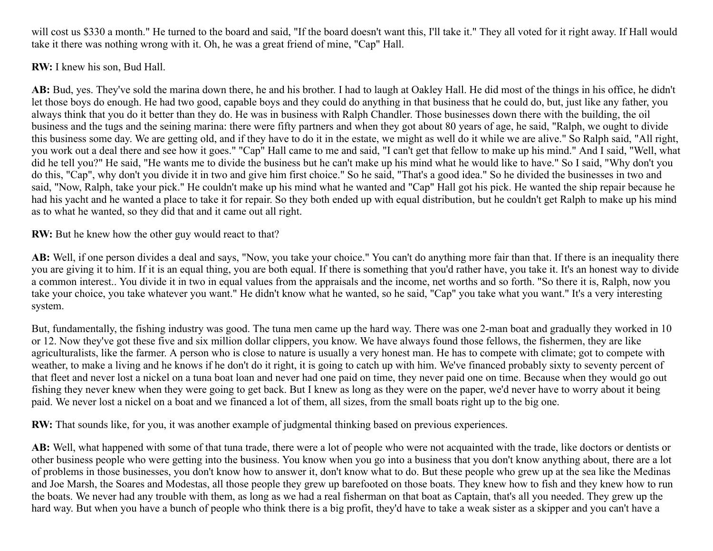will cost us \$330 a month." He turned to the board and said, "If the board doesn't want this, I'll take it." They all voted for it right away. If Hall would take it there was nothing wrong with it. Oh, he was a great friend of mine, "Cap" Hall.

**RW:** I knew his son, Bud Hall.

**AB:** Bud, yes. They've sold the marina down there, he and his brother. I had to laugh at Oakley Hall. He did most of the things in his office, he didn't let those boys do enough. He had two good, capable boys and they could do anything in that business that he could do, but, just like any father, you always think that you do it better than they do. He was in business with Ralph Chandler. Those businesses down there with the building, the oil business and the tugs and the seining marina: there were fifty partners and when they got about 80 years of age, he said, "Ralph, we ought to divide this business some day. We are getting old, and if they have to do it in the estate, we might as well do it while we are alive." So Ralph said, "All right, you work out a deal there and see how it goes." "Cap" Hall came to me and said, "I can't get that fellow to make up his mind." And I said, "Well, what did he tell you?" He said, "He wants me to divide the business but he can't make up his mind what he would like to have." So I said, "Why don't you do this, "Cap", why don't you divide it in two and give him first choice." So he said, "That's a good idea." So he divided the businesses in two and said, "Now, Ralph, take your pick." He couldn't make up his mind what he wanted and "Cap" Hall got his pick. He wanted the ship repair because he had his yacht and he wanted a place to take it for repair. So they both ended up with equal distribution, but he couldn't get Ralph to make up his mind as to what he wanted, so they did that and it came out all right.

**RW:** But he knew how the other guy would react to that?

**AB:** Well, if one person divides a deal and says, "Now, you take your choice." You can't do anything more fair than that. If there is an inequality there you are giving it to him. If it is an equal thing, you are both equal. If there is something that you'd rather have, you take it. It's an honest way to divide a common interest.. You divide it in two in equal values from the appraisals and the income, net worths and so forth. "So there it is, Ralph, now you take your choice, you take whatever you want." He didn't know what he wanted, so he said, "Cap" you take what you want." It's a very interesting system.

But, fundamentally, the fishing industry was good. The tuna men came up the hard way. There was one 2-man boat and gradually they worked in 10 or 12. Now they've got these five and six million dollar clippers, you know. We have always found those fellows, the fishermen, they are like agriculturalists, like the farmer. A person who is close to nature is usually a very honest man. He has to compete with climate; got to compete with weather, to make a living and he knows if he don't do it right, it is going to catch up with him. We've financed probably sixty to seventy percent of that fleet and never lost a nickel on a tuna boat loan and never had one paid on time, they never paid one on time. Because when they would go out fishing they never knew when they were going to get back. But I knew as long as they were on the paper, we'd never have to worry about it being paid. We never lost a nickel on a boat and we financed a lot of them, all sizes, from the small boats right up to the big one.

**RW:** That sounds like, for you, it was another example of judgmental thinking based on previous experiences.

**AB:** Well, what happened with some of that tuna trade, there were a lot of people who were not acquainted with the trade, like doctors or dentists or other business people who were getting into the business. You know when you go into a business that you don't know anything about, there are a lot of problems in those businesses, you don't know how to answer it, don't know what to do. But these people who grew up at the sea like the Medinas and Joe Marsh, the Soares and Modestas, all those people they grew up barefooted on those boats. They knew how to fish and they knew how to run the boats. We never had any trouble with them, as long as we had a real fisherman on that boat as Captain, that's all you needed. They grew up the hard way. But when you have a bunch of people who think there is a big profit, they'd have to take a weak sister as a skipper and you can't have a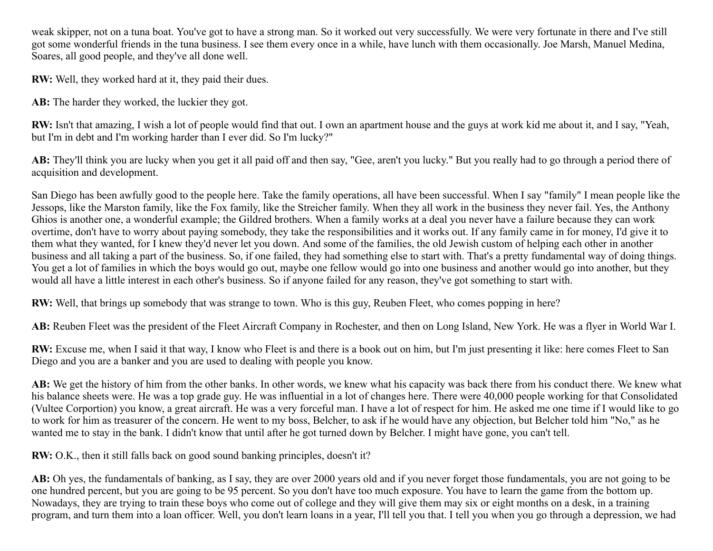weak skipper, not on a tuna boat. You've got to have a strong man. So it worked out very successfully. We were very fortunate in there and I've still got some wonderful friends in the tuna business. I see them every once in a while, have lunch with them occasionally. Joe Marsh, Manuel Medina, Soares, all good people, and they've all done well.

**RW:** Well, they worked hard at it, they paid their dues.

AB: The harder they worked, the luckier they got.

**RW:** Isn't that amazing, I wish a lot of people would find that out. I own an apartment house and the guys at work kid me about it, and I say, "Yeah, but I'm in debt and I'm working harder than I ever did. So I'm lucky?"

**AB:** They'll think you are lucky when you get it all paid off and then say, "Gee, aren't you lucky." But you really had to go through a period there of acquisition and development.

San Diego has been awfully good to the people here. Take the family operations, all have been successful. When I say "family" I mean people like the Jessops, like the Marston family, like the Fox family, like the Streicher family. When they all work in the business they never fail. Yes, the Anthony Ghios is another one, a wonderful example; the Gildred brothers. When a family works at a deal you never have a failure because they can work overtime, don't have to worry about paying somebody, they take the responsibilities and it works out. If any family came in for money, I'd give it to them what they wanted, for I knew they'd never let you down. And some of the families, the old Jewish custom of helping each other in another business and all taking a part of the business. So, if one failed, they had something else to start with. That's a pretty fundamental way of doing things. You get a lot of families in which the boys would go out, maybe one fellow would go into one business and another would go into another, but they would all have a little interest in each other's business. So if anyone failed for any reason, they've got something to start with.

**RW:** Well, that brings up somebody that was strange to town. Who is this guy, Reuben Fleet, who comes popping in here?

**AB:** Reuben Fleet was the president of the Fleet Aircraft Company in Rochester, and then on Long Island, New York. He was a flyer in World War I.

**RW:** Excuse me, when I said it that way, I know who Fleet is and there is a book out on him, but I'm just presenting it like: here comes Fleet to San Diego and you are a banker and you are used to dealing with people you know.

**AB:** We get the history of him from the other banks. In other words, we knew what his capacity was back there from his conduct there. We knew what his balance sheets were. He was a top grade guy. He was influential in a lot of changes here. There were 40,000 people working for that Consolidated (Vultee Corportion) you know, a great aircraft. He was a very forceful man. I have a lot of respect for him. He asked me one time if I would like to go to work for him as treasurer of the concern. He went to my boss, Belcher, to ask if he would have any objection, but Belcher told him "No," as he wanted me to stay in the bank. I didn't know that until after he got turned down by Belcher. I might have gone, you can't tell.

**RW:** O.K., then it still falls back on good sound banking principles, doesn't it?

AB: Oh yes, the fundamentals of banking, as I say, they are over 2000 years old and if you never forget those fundamentals, you are not going to be one hundred percent, but you are going to be 95 percent. So you don't have too much exposure. You have to learn the game from the bottom up. Nowadays, they are trying to train these boys who come out of college and they will give them may six or eight months on a desk, in a training program, and turn them into a loan officer. Well, you don't learn loans in a year, I'll tell you that. I tell you when you go through a depression, we had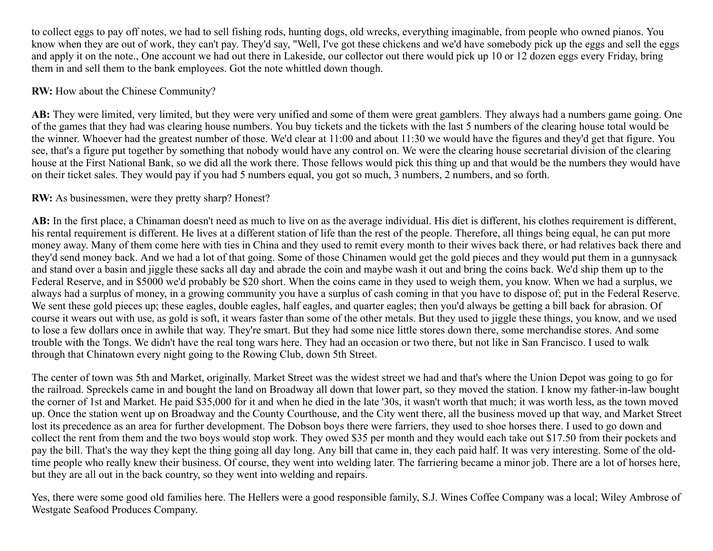to collect eggs to pay off notes, we had to sell fishing rods, hunting dogs, old wrecks, everything imaginable, from people who owned pianos. You know when they are out of work, they can't pay. They'd say, "Well, I've got these chickens and we'd have somebody pick up the eggs and sell the eggs and apply it on the note., One account we had out there in Lakeside, our collector out there would pick up 10 or 12 dozen eggs every Friday, bring them in and sell them to the bank employees. Got the note whittled down though.

#### **RW:** How about the Chinese Community?

**AB:** They were limited, very limited, but they were very unified and some of them were great gamblers. They always had a numbers game going. One of the games that they had was clearing house numbers. You buy tickets and the tickets with the last 5 numbers of the clearing house total would be the winner. Whoever had the greatest number of those. We'd clear at 11:00 and about 11:30 we would have the figures and they'd get that figure. You see, that's a figure put together by something that nobody would have any control on. We were the clearing house secretarial division of the clearing house at the First National Bank, so we did all the work there. Those fellows would pick this thing up and that would be the numbers they would have on their ticket sales. They would pay if you had 5 numbers equal, you got so much, 3 numbers, 2 numbers, and so forth.

## **RW:** As businessmen, were they pretty sharp? Honest?

AB: In the first place, a Chinaman doesn't need as much to live on as the average individual. His diet is different, his clothes requirement is different, his rental requirement is different. He lives at a different station of life than the rest of the people. Therefore, all things being equal, he can put more money away. Many of them come here with ties in China and they used to remit every month to their wives back there, or had relatives back there and they'd send money back. And we had a lot of that going. Some of those Chinamen would get the gold pieces and they would put them in a gunnysack and stand over a basin and jiggle these sacks all day and abrade the coin and maybe wash it out and bring the coins back. We'd ship them up to the Federal Reserve, and in \$5000 we'd probably be \$20 short. When the coins came in they used to weigh them, you know. When we had a surplus, we always had a surplus of money, in a growing community you have a surplus of cash coming in that you have to dispose of; put in the Federal Reserve. We sent these gold pieces up; these eagles, double eagles, half eagles, and quarter eagles; then you'd always be getting a bill back for abrasion. Of course it wears out with use, as gold is soft, it wears faster than some of the other metals. But they used to jiggle these things, you know, and we used to lose a few dollars once in awhile that way. They're smart. But they had some nice little stores down there, some merchandise stores. And some trouble with the Tongs. We didn't have the real tong wars here. They had an occasion or two there, but not like in San Francisco. I used to walk through that Chinatown every night going to the Rowing Club, down 5th Street.

The center of town was 5th and Market, originally. Market Street was the widest street we had and that's where the Union Depot was going to go for the railroad. Spreckels came in and bought the land on Broadway all down that lower part, so they moved the station. I know my father-in-law bought the corner of 1st and Market. He paid \$35,000 for it and when he died in the late '30s, it wasn't worth that much; it was worth less, as the town moved up. Once the station went up on Broadway and the County Courthouse, and the City went there, all the business moved up that way, and Market Street lost its precedence as an area for further development. The Dobson boys there were farriers, they used to shoe horses there. I used to go down and collect the rent from them and the two boys would stop work. They owed \$35 per month and they would each take out \$17.50 from their pockets and pay the bill. That's the way they kept the thing going all day long. Any bill that came in, they each paid half. It was very interesting. Some of the oldtime people who really knew their business. Of course, they went into welding later. The farriering became a minor job. There are a lot of horses here, but they are all out in the back country, so they went into welding and repairs.

Yes, there were some good old families here. The Hellers were a good responsible family, S.J. Wines Coffee Company was a local; Wiley Ambrose of Westgate Seafood Produces Company.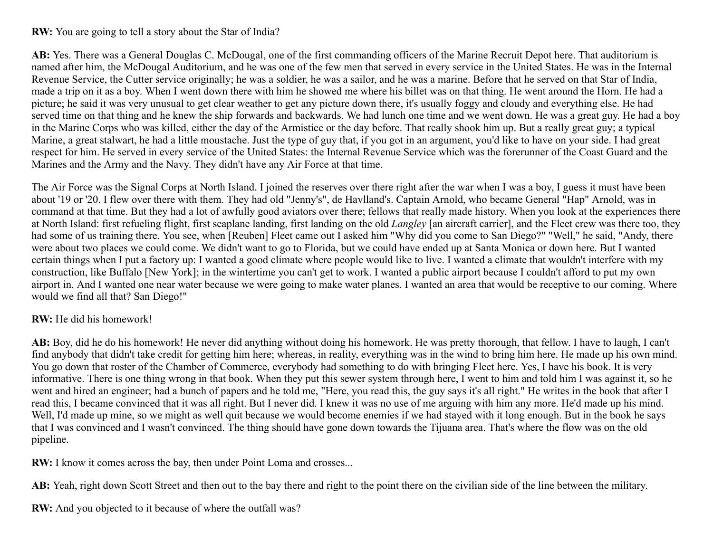#### **RW:** You are going to tell a story about the Star of India?

**AB:** Yes. There was a General Douglas C. McDougal, one of the first commanding officers of the Marine Recruit Depot here. That auditorium is named after him, the McDougal Auditorium, and he was one of the few men that served in every service in the United States. He was in the Internal Revenue Service, the Cutter service originally; he was a soldier, he was a sailor, and he was a marine. Before that he served on that Star of India, made a trip on it as a boy. When I went down there with him he showed me where his billet was on that thing. He went around the Horn. He had a picture; he said it was very unusual to get clear weather to get any picture down there, it's usually foggy and cloudy and everything else. He had served time on that thing and he knew the ship forwards and backwards. We had lunch one time and we went down. He was a great guy. He had a boy in the Marine Corps who was killed, either the day of the Armistice or the day before. That really shook him up. But a really great guy; a typical Marine, a great stalwart, he had a little moustache. Just the type of guy that, if you got in an argument, you'd like to have on your side. I had great respect for him. He served in every service of the United States: the Internal Revenue Service which was the forerunner of the Coast Guard and the Marines and the Army and the Navy. They didn't have any Air Force at that time.

The Air Force was the Signal Corps at North Island. I joined the reserves over there right after the war when I was a boy, I guess it must have been about '19 or '20. I flew over there with them. They had old "Jenny's", de Havlland's. Captain Arnold, who became General "Hap" Arnold, was in command at that time. But they had a lot of awfully good aviators over there; fellows that really made history. When you look at the experiences there at North Island: first refueling flight, first seaplane landing, first landing on the old *Langley* [an aircraft carrier], and the Fleet crew was there too, they had some of us training there. You see, when [Reuben] Fleet came out I asked him "Why did you come to San Diego?" "Well," he said, "Andy, there were about two places we could come. We didn't want to go to Florida, but we could have ended up at Santa Monica or down here. But I wanted certain things when I put a factory up: I wanted a good climate where people would like to live. I wanted a climate that wouldn't interfere with my construction, like Buffalo [New York]; in the wintertime you can't get to work. I wanted a public airport because I couldn't afford to put my own airport in. And I wanted one near water because we were going to make water planes. I wanted an area that would be receptive to our coming. Where would we find all that? San Diego!"

#### **RW:** He did his homework!

**AB:** Boy, did he do his homework! He never did anything without doing his homework. He was pretty thorough, that fellow. I have to laugh, I can't find anybody that didn't take credit for getting him here; whereas, in reality, everything was in the wind to bring him here. He made up his own mind. You go down that roster of the Chamber of Commerce, everybody had something to do with bringing Fleet here. Yes, I have his book. It is very informative. There is one thing wrong in that book. When they put this sewer system through here, I went to him and told him I was against it, so he went and hired an engineer; had a bunch of papers and he told me, "Here, you read this, the guy says it's all right." He writes in the book that after I read this, I became convinced that it was all right. But I never did. I knew it was no use of me arguing with him any more. He'd made up his mind. Well, I'd made up mine, so we might as well quit because we would become enemies if we had stayed with it long enough. But in the book he says that I was convinced and I wasn't convinced. The thing should have gone down towards the Tijuana area. That's where the flow was on the old pipeline.

**RW:** I know it comes across the bay, then under Point Loma and crosses...

**AB:** Yeah, right down Scott Street and then out to the bay there and right to the point there on the civilian side of the line between the military.

**RW:** And you objected to it because of where the outfall was?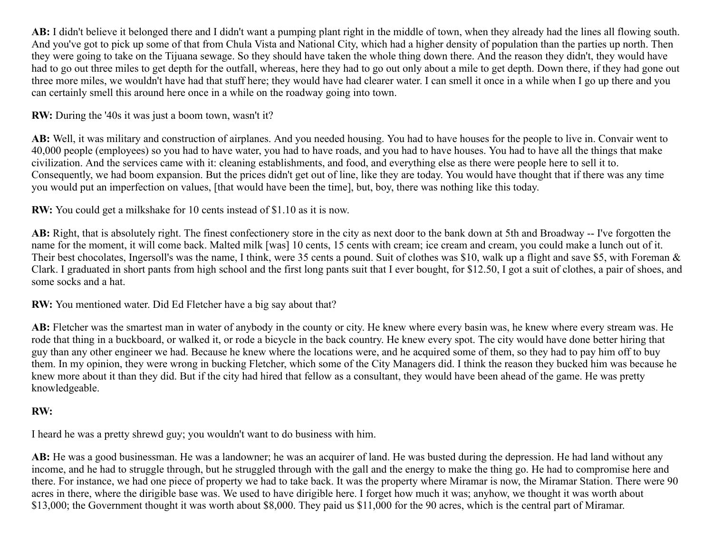**AB:** I didn't believe it belonged there and I didn't want a pumping plant right in the middle of town, when they already had the lines all flowing south. And you've got to pick up some of that from Chula Vista and National City, which had a higher density of population than the parties up north. Then they were going to take on the Tijuana sewage. So they should have taken the whole thing down there. And the reason they didn't, they would have had to go out three miles to get depth for the outfall, whereas, here they had to go out only about a mile to get depth. Down there, if they had gone out three more miles, we wouldn't have had that stuff here; they would have had clearer water. I can smell it once in a while when I go up there and you can certainly smell this around here once in a while on the roadway going into town.

**RW:** During the '40s it was just a boom town, wasn't it?

**AB:** Well, it was military and construction of airplanes. And you needed housing. You had to have houses for the people to live in. Convair went to 40,000 people (employees) so you had to have water, you had to have roads, and you had to have houses. You had to have all the things that make civilization. And the services came with it: cleaning establishments, and food, and everything else as there were people here to sell it to. Consequently, we had boom expansion. But the prices didn't get out of line, like they are today. You would have thought that if there was any time you would put an imperfection on values, [that would have been the time], but, boy, there was nothing like this today.

**RW:** You could get a milkshake for 10 cents instead of \$1.10 as it is now.

**AB:** Right, that is absolutely right. The finest confectionery store in the city as next door to the bank down at 5th and Broadway -- I've forgotten the name for the moment, it will come back. Malted milk [was] 10 cents, 15 cents with cream; ice cream and cream, you could make a lunch out of it. Their best chocolates, Ingersoll's was the name, I think, were 35 cents a pound. Suit of clothes was \$10, walk up a flight and save \$5, with Foreman & Clark. I graduated in short pants from high school and the first long pants suit that I ever bought, for \$12.50, I got a suit of clothes, a pair of shoes, and some socks and a hat.

**RW:** You mentioned water. Did Ed Fletcher have a big say about that?

AB: Fletcher was the smartest man in water of anybody in the county or city. He knew where every basin was, he knew where every stream was. He rode that thing in a buckboard, or walked it, or rode a bicycle in the back country. He knew every spot. The city would have done better hiring that guy than any other engineer we had. Because he knew where the locations were, and he acquired some of them, so they had to pay him off to buy them. In my opinion, they were wrong in bucking Fletcher, which some of the City Managers did. I think the reason they bucked him was because he knew more about it than they did. But if the city had hired that fellow as a consultant, they would have been ahead of the game. He was pretty knowledgeable.

# **RW:**

I heard he was a pretty shrewd guy; you wouldn't want to do business with him.

**AB:** He was a good businessman. He was a landowner; he was an acquirer of land. He was busted during the depression. He had land without any income, and he had to struggle through, but he struggled through with the gall and the energy to make the thing go. He had to compromise here and there. For instance, we had one piece of property we had to take back. It was the property where Miramar is now, the Miramar Station. There were 90 acres in there, where the dirigible base was. We used to have dirigible here. I forget how much it was; anyhow, we thought it was worth about \$13,000; the Government thought it was worth about \$8,000. They paid us \$11,000 for the 90 acres, which is the central part of Miramar.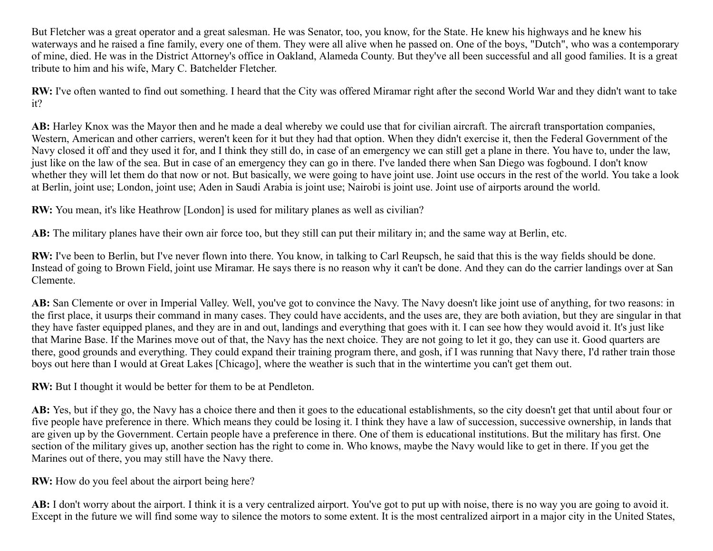But Fletcher was a great operator and a great salesman. He was Senator, too, you know, for the State. He knew his highways and he knew his waterways and he raised a fine family, every one of them. They were all alive when he passed on. One of the boys, "Dutch", who was a contemporary of mine, died. He was in the District Attorney's office in Oakland, Alameda County. But they've all been successful and all good families. It is a great tribute to him and his wife, Mary C. Batchelder Fletcher.

**RW:** I've often wanted to find out something. I heard that the City was offered Miramar right after the second World War and they didn't want to take it?

AB: Harley Knox was the Mayor then and he made a deal whereby we could use that for civilian aircraft. The aircraft transportation companies, Western, American and other carriers, weren't keen for it but they had that option. When they didn't exercise it, then the Federal Government of the Navy closed it off and they used it for, and I think they still do, in case of an emergency we can still get a plane in there. You have to, under the law, just like on the law of the sea. But in case of an emergency they can go in there. I've landed there when San Diego was fogbound. I don't know whether they will let them do that now or not. But basically, we were going to have joint use. Joint use occurs in the rest of the world. You take a look at Berlin, joint use; London, joint use; Aden in Saudi Arabia is joint use; Nairobi is joint use. Joint use of airports around the world.

**RW:** You mean, it's like Heathrow [London] is used for military planes as well as civilian?

**AB:** The military planes have their own air force too, but they still can put their military in; and the same way at Berlin, etc.

**RW:** I've been to Berlin, but I've never flown into there. You know, in talking to Carl Reupsch, he said that this is the way fields should be done. Instead of going to Brown Field, joint use Miramar. He says there is no reason why it can't be done. And they can do the carrier landings over at San Clemente.

**AB:** San Clemente or over in Imperial Valley. Well, you've got to convince the Navy. The Navy doesn't like joint use of anything, for two reasons: in the first place, it usurps their command in many cases. They could have accidents, and the uses are, they are both aviation, but they are singular in that they have faster equipped planes, and they are in and out, landings and everything that goes with it. I can see how they would avoid it. It's just like that Marine Base. If the Marines move out of that, the Navy has the next choice. They are not going to let it go, they can use it. Good quarters are there, good grounds and everything. They could expand their training program there, and gosh, if I was running that Navy there, I'd rather train those boys out here than I would at Great Lakes [Chicago], where the weather is such that in the wintertime you can't get them out.

**RW:** But I thought it would be better for them to be at Pendleton.

**AB:** Yes, but if they go, the Navy has a choice there and then it goes to the educational establishments, so the city doesn't get that until about four or five people have preference in there. Which means they could be losing it. I think they have a law of succession, successive ownership, in lands that are given up by the Government. Certain people have a preference in there. One of them is educational institutions. But the military has first. One section of the military gives up, another section has the right to come in. Who knows, maybe the Navy would like to get in there. If you get the Marines out of there, you may still have the Navy there.

**RW:** How do you feel about the airport being here?

AB: I don't worry about the airport. I think it is a very centralized airport. You've got to put up with noise, there is no way you are going to avoid it. Except in the future we will find some way to silence the motors to some extent. It is the most centralized airport in a major city in the United States,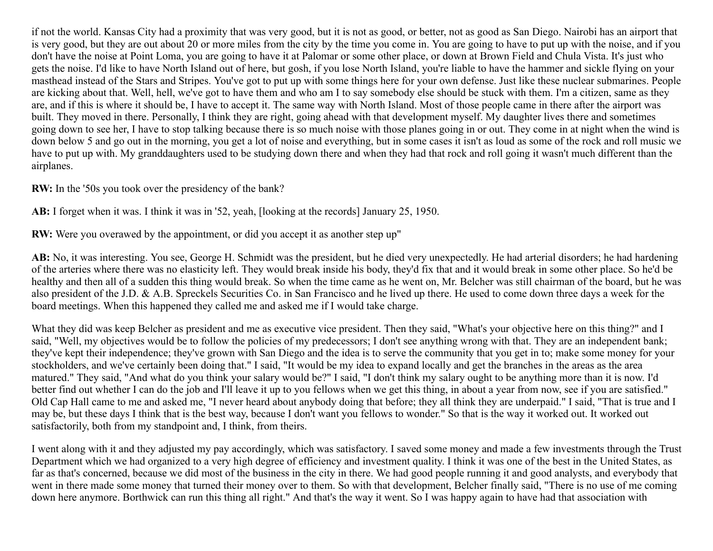if not the world. Kansas City had a proximity that was very good, but it is not as good, or better, not as good as San Diego. Nairobi has an airport that is very good, but they are out about 20 or more miles from the city by the time you come in. You are going to have to put up with the noise, and if you don't have the noise at Point Loma, you are going to have it at Palomar or some other place, or down at Brown Field and Chula Vista. It's just who gets the noise. I'd like to have North Island out of here, but gosh, if you lose North Island, you're liable to have the hammer and sickle flying on your masthead instead of the Stars and Stripes. You've got to put up with some things here for your own defense. Just like these nuclear submarines. People are kicking about that. Well, hell, we've got to have them and who am I to say somebody else should be stuck with them. I'm a citizen, same as they are, and if this is where it should be, I have to accept it. The same way with North Island. Most of those people came in there after the airport was built. They moved in there. Personally, I think they are right, going ahead with that development myself. My daughter lives there and sometimes going down to see her, I have to stop talking because there is so much noise with those planes going in or out. They come in at night when the wind is down below 5 and go out in the morning, you get a lot of noise and everything, but in some cases it isn't as loud as some of the rock and roll music we have to put up with. My granddaughters used to be studying down there and when they had that rock and roll going it wasn't much different than the airplanes.

**RW:** In the '50s you took over the presidency of the bank?

**AB:** I forget when it was. I think it was in '52, yeah, [looking at the records] January 25, 1950.

**RW:** Were you overawed by the appointment, or did you accept it as another step up"

**AB:** No, it was interesting. You see, George H. Schmidt was the president, but he died very unexpectedly. He had arterial disorders; he had hardening of the arteries where there was no elasticity left. They would break inside his body, they'd fix that and it would break in some other place. So he'd be healthy and then all of a sudden this thing would break. So when the time came as he went on, Mr. Belcher was still chairman of the board, but he was also president of the J.D. & A.B. Spreckels Securities Co. in San Francisco and he lived up there. He used to come down three days a week for the board meetings. When this happened they called me and asked me if I would take charge.

What they did was keep Belcher as president and me as executive vice president. Then they said, "What's your objective here on this thing?" and I said, "Well, my objectives would be to follow the policies of my predecessors; I don't see anything wrong with that. They are an independent bank; they've kept their independence; they've grown with San Diego and the idea is to serve the community that you get in to; make some money for your stockholders, and we've certainly been doing that." I said, "It would be my idea to expand locally and get the branches in the areas as the area matured." They said, "And what do you think your salary would be?" I said, "I don't think my salary ought to be anything more than it is now. I'd better find out whether I can do the job and I'll leave it up to you fellows when we get this thing, in about a year from now, see if you are satisfied." Old Cap Hall came to me and asked me, "I never heard about anybody doing that before; they all think they are underpaid." I said, "That is true and I may be, but these days I think that is the best way, because I don't want you fellows to wonder." So that is the way it worked out. It worked out satisfactorily, both from my standpoint and, I think, from theirs.

I went along with it and they adjusted my pay accordingly, which was satisfactory. I saved some money and made a few investments through the Trust Department which we had organized to a very high degree of efficiency and investment quality. I think it was one of the best in the United States, as far as that's concerned, because we did most of the business in the city in there. We had good people running it and good analysts, and everybody that went in there made some money that turned their money over to them. So with that development, Belcher finally said, "There is no use of me coming down here anymore. Borthwick can run this thing all right." And that's the way it went. So I was happy again to have had that association with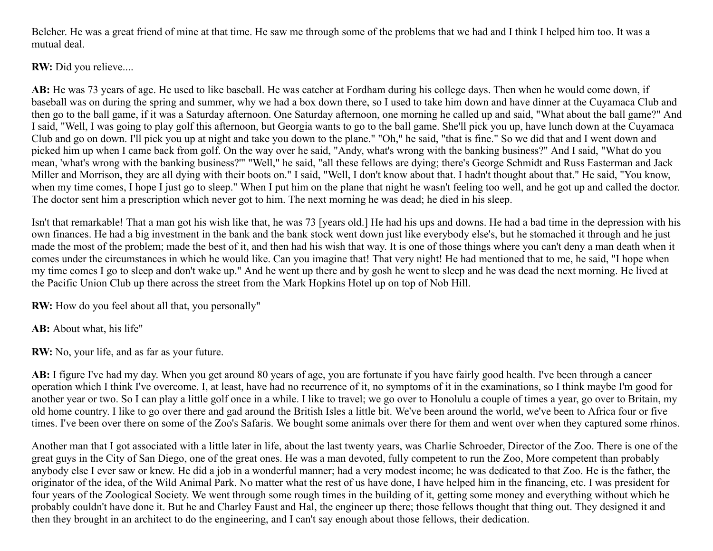Belcher. He was a great friend of mine at that time. He saw me through some of the problems that we had and I think I helped him too. It was a mutual deal.

**RW:** Did you relieve....

AB: He was 73 years of age. He used to like baseball. He was catcher at Fordham during his college days. Then when he would come down, if baseball was on during the spring and summer, why we had a box down there, so I used to take him down and have dinner at the Cuyamaca Club and then go to the ball game, if it was a Saturday afternoon. One Saturday afternoon, one morning he called up and said, "What about the ball game?" And I said, "Well, I was going to play golf this afternoon, but Georgia wants to go to the ball game. She'll pick you up, have lunch down at the Cuyamaca Club and go on down. I'll pick you up at night and take you down to the plane." "Oh," he said, "that is fine." So we did that and I went down and picked him up when I came back from golf. On the way over he said, "Andy, what's wrong with the banking business?" And I said, "What do you mean, 'what's wrong with the banking business?'" "Well," he said, "all these fellows are dying; there's George Schmidt and Russ Easterman and Jack Miller and Morrison, they are all dying with their boots on." I said, "Well, I don't know about that. I hadn't thought about that." He said, "You know, when my time comes, I hope I just go to sleep." When I put him on the plane that night he wasn't feeling too well, and he got up and called the doctor. The doctor sent him a prescription which never got to him. The next morning he was dead; he died in his sleep.

Isn't that remarkable! That a man got his wish like that, he was 73 [years old.] He had his ups and downs. He had a bad time in the depression with his own finances. He had a big investment in the bank and the bank stock went down just like everybody else's, but he stomached it through and he just made the most of the problem; made the best of it, and then had his wish that way. It is one of those things where you can't deny a man death when it comes under the circumstances in which he would like. Can you imagine that! That very night! He had mentioned that to me, he said, "I hope when my time comes I go to sleep and don't wake up." And he went up there and by gosh he went to sleep and he was dead the next morning. He lived at the Pacific Union Club up there across the street from the Mark Hopkins Hotel up on top of Nob Hill.

RW: How do you feel about all that, you personally"

**AB:** About what, his life"

**RW:** No, your life, and as far as your future.

**AB:** I figure I've had my day. When you get around 80 years of age, you are fortunate if you have fairly good health. I've been through a cancer operation which I think I've overcome. I, at least, have had no recurrence of it, no symptoms of it in the examinations, so I think maybe I'm good for another year or two. So I can play a little golf once in a while. I like to travel; we go over to Honolulu a couple of times a year, go over to Britain, my old home country. I like to go over there and gad around the British Isles a little bit. We've been around the world, we've been to Africa four or five times. I've been over there on some of the Zoo's Safaris. We bought some animals over there for them and went over when they captured some rhinos.

Another man that I got associated with a little later in life, about the last twenty years, was Charlie Schroeder, Director of the Zoo. There is one of the great guys in the City of San Diego, one of the great ones. He was a man devoted, fully competent to run the Zoo, More competent than probably anybody else I ever saw or knew. He did a job in a wonderful manner; had a very modest income; he was dedicated to that Zoo. He is the father, the originator of the idea, of the Wild Animal Park. No matter what the rest of us have done, I have helped him in the financing, etc. I was president for four years of the Zoological Society. We went through some rough times in the building of it, getting some money and everything without which he probably couldn't have done it. But he and Charley Faust and Hal, the engineer up there; those fellows thought that thing out. They designed it and then they brought in an architect to do the engineering, and I can't say enough about those fellows, their dedication.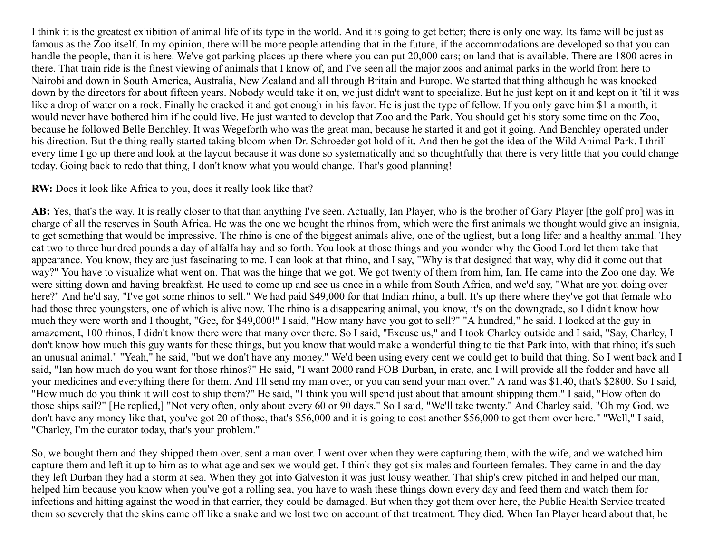I think it is the greatest exhibition of animal life of its type in the world. And it is going to get better; there is only one way. Its fame will be just as famous as the Zoo itself. In my opinion, there will be more people attending that in the future, if the accommodations are developed so that you can handle the people, than it is here. We've got parking places up there where you can put 20,000 cars; on land that is available. There are 1800 acres in there. That train ride is the finest viewing of animals that I know of, and I've seen all the major zoos and animal parks in the world from here to Nairobi and down in South America, Australia, New Zealand and all through Britain and Europe. We started that thing although he was knocked down by the directors for about fifteen years. Nobody would take it on, we just didn't want to specialize. But he just kept on it and kept on it 'til it was like a drop of water on a rock. Finally he cracked it and got enough in his favor. He is just the type of fellow. If you only gave him \$1 a month, it would never have bothered him if he could live. He just wanted to develop that Zoo and the Park. You should get his story some time on the Zoo, because he followed Belle Benchley. It was Wegeforth who was the great man, because he started it and got it going. And Benchley operated under his direction. But the thing really started taking bloom when Dr. Schroeder got hold of it. And then he got the idea of the Wild Animal Park. I thrill every time I go up there and look at the layout because it was done so systematically and so thoughtfully that there is very little that you could change today. Going back to redo that thing, I don't know what you would change. That's good planning!

#### **RW:** Does it look like Africa to you, does it really look like that?

**AB:** Yes, that's the way. It is really closer to that than anything I've seen. Actually, Ian Player, who is the brother of Gary Player [the golf pro] was in charge of all the reserves in South Africa. He was the one we bought the rhinos from, which were the first animals we thought would give an insignia, to get something that would be impressive. The rhino is one of the biggest animals alive, one of the ugliest, but a long lifer and a healthy animal. They eat two to three hundred pounds a day of alfalfa hay and so forth. You look at those things and you wonder why the Good Lord let them take that appearance. You know, they are just fascinating to me. I can look at that rhino, and I say, "Why is that designed that way, why did it come out that way?" You have to visualize what went on. That was the hinge that we got. We got twenty of them from him, Ian. He came into the Zoo one day. We were sitting down and having breakfast. He used to come up and see us once in a while from South Africa, and we'd say, "What are you doing over here?" And he'd say, "I've got some rhinos to sell." We had paid \$49,000 for that Indian rhino, a bull. It's up there where they've got that female who had those three youngsters, one of which is alive now. The rhino is a disappearing animal, you know, it's on the downgrade, so I didn't know how much they were worth and I thought, "Gee, for \$49,000!" I said, "How many have you got to sell?" "A hundred," he said. I looked at the guy in amazement, 100 rhinos, I didn't know there were that many over there. So I said, "Excuse us," and I took Charley outside and I said, "Say, Charley, I don't know how much this guy wants for these things, but you know that would make a wonderful thing to tie that Park into, with that rhino; it's such an unusual animal." "Yeah," he said, "but we don't have any money." We'd been using every cent we could get to build that thing. So I went back and I said, "Ian how much do you want for those rhinos?" He said, "I want 2000 rand FOB Durban, in crate, and I will provide all the fodder and have all your medicines and everything there for them. And I'll send my man over, or you can send your man over." A rand was \$1.40, that's \$2800. So I said, "How much do you think it will cost to ship them?" He said, "I think you will spend just about that amount shipping them." I said, "How often do those ships sail?" [He replied,] "Not very often, only about every 60 or 90 days." So I said, "We'll take twenty." And Charley said, "Oh my God, we don't have any money like that, you've got 20 of those, that's \$56,000 and it is going to cost another \$56,000 to get them over here." "Well," I said, "Charley, I'm the curator today, that's your problem."

So, we bought them and they shipped them over, sent a man over. I went over when they were capturing them, with the wife, and we watched him capture them and left it up to him as to what age and sex we would get. I think they got six males and fourteen females. They came in and the day they left Durban they had a storm at sea. When they got into Galveston it was just lousy weather. That ship's crew pitched in and helped our man, helped him because you know when you've got a rolling sea, you have to wash these things down every day and feed them and watch them for infections and hitting against the wood in that carrier, they could be damaged. But when they got them over here, the Public Health Service treated them so severely that the skins came off like a snake and we lost two on account of that treatment. They died. When Ian Player heard about that, he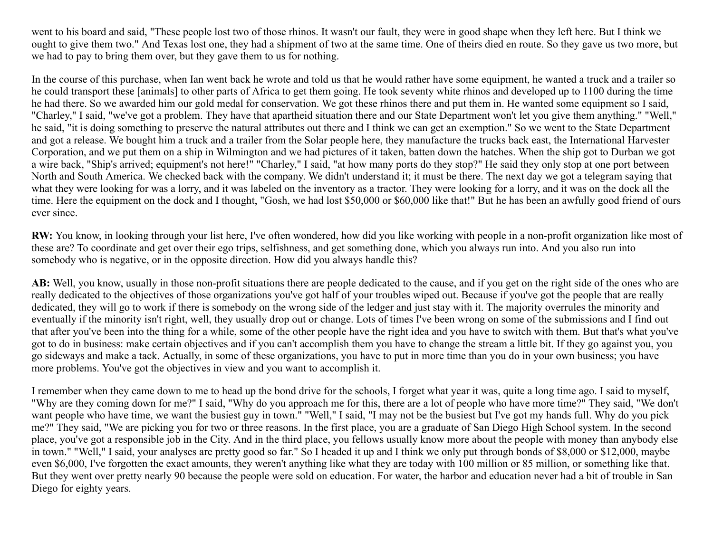went to his board and said, "These people lost two of those rhinos. It wasn't our fault, they were in good shape when they left here. But I think we ought to give them two." And Texas lost one, they had a shipment of two at the same time. One of theirs died en route. So they gave us two more, but we had to pay to bring them over, but they gave them to us for nothing.

In the course of this purchase, when Ian went back he wrote and told us that he would rather have some equipment, he wanted a truck and a trailer so he could transport these [animals] to other parts of Africa to get them going. He took seventy white rhinos and developed up to 1100 during the time he had there. So we awarded him our gold medal for conservation. We got these rhinos there and put them in. He wanted some equipment so I said, "Charley," I said, "we've got a problem. They have that apartheid situation there and our State Department won't let you give them anything." "Well," he said, "it is doing something to preserve the natural attributes out there and I think we can get an exemption." So we went to the State Department and got a release. We bought him a truck and a trailer from the Solar people here, they manufacture the trucks back east, the International Harvester Corporation, and we put them on a ship in Wilmington and we had pictures of it taken, batten down the hatches. When the ship got to Durban we got a wire back, "Ship's arrived; equipment's not here!" "Charley," I said, "at how many ports do they stop?" He said they only stop at one port between North and South America. We checked back with the company. We didn't understand it; it must be there. The next day we got a telegram saying that what they were looking for was a lorry, and it was labeled on the inventory as a tractor. They were looking for a lorry, and it was on the dock all the time. Here the equipment on the dock and I thought, "Gosh, we had lost \$50,000 or \$60,000 like that!" But he has been an awfully good friend of ours ever since.

**RW:** You know, in looking through your list here, I've often wondered, how did you like working with people in a non-profit organization like most of these are? To coordinate and get over their ego trips, selfishness, and get something done, which you always run into. And you also run into somebody who is negative, or in the opposite direction. How did you always handle this?

**AB:** Well, you know, usually in those non-profit situations there are people dedicated to the cause, and if you get on the right side of the ones who are really dedicated to the objectives of those organizations you've got half of your troubles wiped out. Because if you've got the people that are really dedicated, they will go to work if there is somebody on the wrong side of the ledger and just stay with it. The majority overrules the minority and eventually if the minority isn't right, well, they usually drop out or change. Lots of times I've been wrong on some of the submissions and I find out that after you've been into the thing for a while, some of the other people have the right idea and you have to switch with them. But that's what you've got to do in business: make certain objectives and if you can't accomplish them you have to change the stream a little bit. If they go against you, you go sideways and make a tack. Actually, in some of these organizations, you have to put in more time than you do in your own business; you have more problems. You've got the objectives in view and you want to accomplish it.

I remember when they came down to me to head up the bond drive for the schools, I forget what year it was, quite a long time ago. I said to myself, "Why are they coming down for me?" I said, "Why do you approach me for this, there are a lot of people who have more time?" They said, "We don't want people who have time, we want the busiest guy in town." "Well," I said, "I may not be the busiest but I've got my hands full. Why do you pick me?" They said, "We are picking you for two or three reasons. In the first place, you are a graduate of San Diego High School system. In the second place, you've got a responsible job in the City. And in the third place, you fellows usually know more about the people with money than anybody else in town." "Well," I said, your analyses are pretty good so far." So I headed it up and I think we only put through bonds of \$8,000 or \$12,000, maybe even \$6,000, I've forgotten the exact amounts, they weren't anything like what they are today with 100 million or 85 million, or something like that. But they went over pretty nearly 90 because the people were sold on education. For water, the harbor and education never had a bit of trouble in San Diego for eighty years.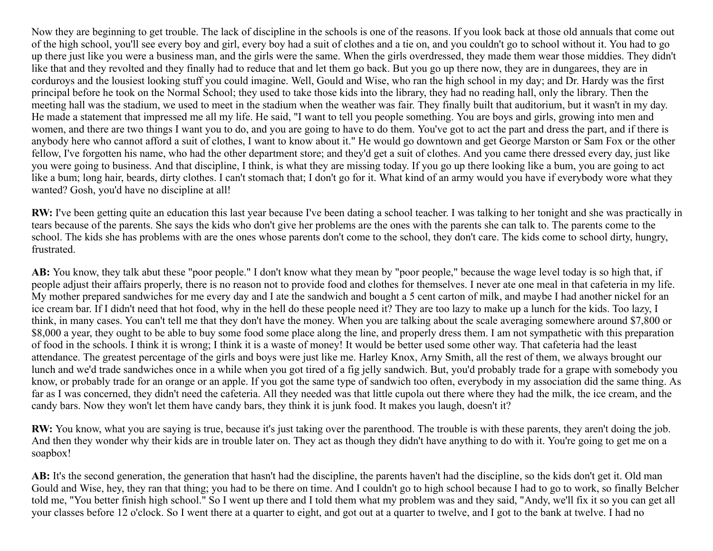Now they are beginning to get trouble. The lack of discipline in the schools is one of the reasons. If you look back at those old annuals that come out of the high school, you'll see every boy and girl, every boy had a suit of clothes and a tie on, and you couldn't go to school without it. You had to go up there just like you were a business man, and the girls were the same. When the girls overdressed, they made them wear those middies. They didn't like that and they revolted and they finally had to reduce that and let them go back. But you go up there now, they are in dungarees, they are in corduroys and the lousiest looking stuff you could imagine. Well, Gould and Wise, who ran the high school in my day; and Dr. Hardy was the first principal before he took on the Normal School; they used to take those kids into the library, they had no reading hall, only the library. Then the meeting hall was the stadium, we used to meet in the stadium when the weather was fair. They finally built that auditorium, but it wasn't in my day. He made a statement that impressed me all my life. He said, "I want to tell you people something. You are boys and girls, growing into men and women, and there are two things I want you to do, and you are going to have to do them. You've got to act the part and dress the part, and if there is anybody here who cannot afford a suit of clothes, I want to know about it." He would go downtown and get George Marston or Sam Fox or the other fellow, I've forgotten his name, who had the other department store; and they'd get a suit of clothes. And you came there dressed every day, just like you were going to business. And that discipline, I think, is what they are missing today. If you go up there looking like a bum, you are going to act like a bum; long hair, beards, dirty clothes. I can't stomach that; I don't go for it. What kind of an army would you have if everybody wore what they wanted? Gosh, you'd have no discipline at all!

**RW:** I've been getting quite an education this last year because I've been dating a school teacher. I was talking to her tonight and she was practically in tears because of the parents. She says the kids who don't give her problems are the ones with the parents she can talk to. The parents come to the school. The kids she has problems with are the ones whose parents don't come to the school, they don't care. The kids come to school dirty, hungry, frustrated.

**AB:** You know, they talk abut these "poor people." I don't know what they mean by "poor people," because the wage level today is so high that, if people adjust their affairs properly, there is no reason not to provide food and clothes for themselves. I never ate one meal in that cafeteria in my life. My mother prepared sandwiches for me every day and I ate the sandwich and bought a 5 cent carton of milk, and maybe I had another nickel for an ice cream bar. If I didn't need that hot food, why in the hell do these people need it? They are too lazy to make up a lunch for the kids. Too lazy, I think, in many cases. You can't tell me that they don't have the money. When you are talking about the scale averaging somewhere around \$7,800 or \$8,000 a year, they ought to be able to buy some food some place along the line, and properly dress them. I am not sympathetic with this preparation of food in the schools. I think it is wrong; I think it is a waste of money! It would be better used some other way. That cafeteria had the least attendance. The greatest percentage of the girls and boys were just like me. Harley Knox, Arny Smith, all the rest of them, we always brought our lunch and we'd trade sandwiches once in a while when you got tired of a fig jelly sandwich. But, you'd probably trade for a grape with somebody you know, or probably trade for an orange or an apple. If you got the same type of sandwich too often, everybody in my association did the same thing. As far as I was concerned, they didn't need the cafeteria. All they needed was that little cupola out there where they had the milk, the ice cream, and the candy bars. Now they won't let them have candy bars, they think it is junk food. It makes you laugh, doesn't it?

**RW:** You know, what you are saying is true, because it's just taking over the parenthood. The trouble is with these parents, they aren't doing the job. And then they wonder why their kids are in trouble later on. They act as though they didn't have anything to do with it. You're going to get me on a soapbox!

**AB:** It's the second generation, the generation that hasn't had the discipline, the parents haven't had the discipline, so the kids don't get it. Old man Gould and Wise, hey, they ran that thing; you had to be there on time. And I couldn't go to high school because I had to go to work, so finally Belcher told me, "You better finish high school." So I went up there and I told them what my problem was and they said, "Andy, we'll fix it so you can get all your classes before 12 o'clock. So I went there at a quarter to eight, and got out at a quarter to twelve, and I got to the bank at twelve. I had no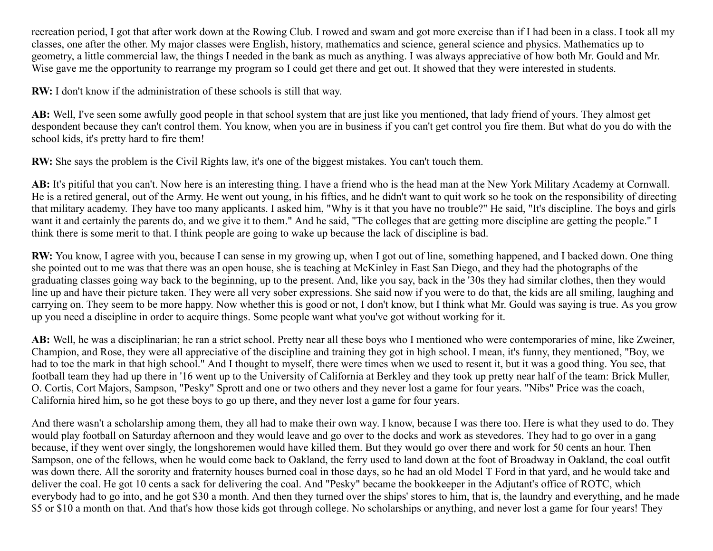recreation period, I got that after work down at the Rowing Club. I rowed and swam and got more exercise than if I had been in a class. I took all my classes, one after the other. My major classes were English, history, mathematics and science, general science and physics. Mathematics up to geometry, a little commercial law, the things I needed in the bank as much as anything. I was always appreciative of how both Mr. Gould and Mr. Wise gave me the opportunity to rearrange my program so I could get there and get out. It showed that they were interested in students.

**RW:** I don't know if the administration of these schools is still that way.

**AB:** Well, I've seen some awfully good people in that school system that are just like you mentioned, that lady friend of yours. They almost get despondent because they can't control them. You know, when you are in business if you can't get control you fire them. But what do you do with the school kids, it's pretty hard to fire them!

**RW:** She says the problem is the Civil Rights law, it's one of the biggest mistakes. You can't touch them.

**AB:** It's pitiful that you can't. Now here is an interesting thing. I have a friend who is the head man at the New York Military Academy at Cornwall. He is a retired general, out of the Army. He went out young, in his fifties, and he didn't want to quit work so he took on the responsibility of directing that military academy. They have too many applicants. I asked him, "Why is it that you have no trouble?" He said, "It's discipline. The boys and girls want it and certainly the parents do, and we give it to them." And he said, "The colleges that are getting more discipline are getting the people." I think there is some merit to that. I think people are going to wake up because the lack of discipline is bad.

**RW:** You know, I agree with you, because I can sense in my growing up, when I got out of line, something happened, and I backed down. One thing she pointed out to me was that there was an open house, she is teaching at McKinley in East San Diego, and they had the photographs of the graduating classes going way back to the beginning, up to the present. And, like you say, back in the '30s they had similar clothes, then they would line up and have their picture taken. They were all very sober expressions. She said now if you were to do that, the kids are all smiling, laughing and carrying on. They seem to be more happy. Now whether this is good or not, I don't know, but I think what Mr. Gould was saying is true. As you grow up you need a discipline in order to acquire things. Some people want what you've got without working for it.

**AB:** Well, he was a disciplinarian; he ran a strict school. Pretty near all these boys who I mentioned who were contemporaries of mine, like Zweiner, Champion, and Rose, they were all appreciative of the discipline and training they got in high school. I mean, it's funny, they mentioned, "Boy, we had to toe the mark in that high school." And I thought to myself, there were times when we used to resent it, but it was a good thing. You see, that football team they had up there in '16 went up to the University of California at Berkley and they took up pretty near half of the team: Brick Muller, O. Cortis, Cort Majors, Sampson, "Pesky" Sprott and one or two others and they never lost a game for four years. "Nibs" Price was the coach, California hired him, so he got these boys to go up there, and they never lost a game for four years.

And there wasn't a scholarship among them, they all had to make their own way. I know, because I was there too. Here is what they used to do. They would play football on Saturday afternoon and they would leave and go over to the docks and work as stevedores. They had to go over in a gang because, if they went over singly, the longshoremen would have killed them. But they would go over there and work for 50 cents an hour. Then Sampson, one of the fellows, when he would come back to Oakland, the ferry used to land down at the foot of Broadway in Oakland, the coal outfit was down there. All the sorority and fraternity houses burned coal in those days, so he had an old Model T Ford in that yard, and he would take and deliver the coal. He got 10 cents a sack for delivering the coal. And "Pesky" became the bookkeeper in the Adjutant's office of ROTC, which everybody had to go into, and he got \$30 a month. And then they turned over the ships' stores to him, that is, the laundry and everything, and he made \$5 or \$10 a month on that. And that's how those kids got through college. No scholarships or anything, and never lost a game for four years! They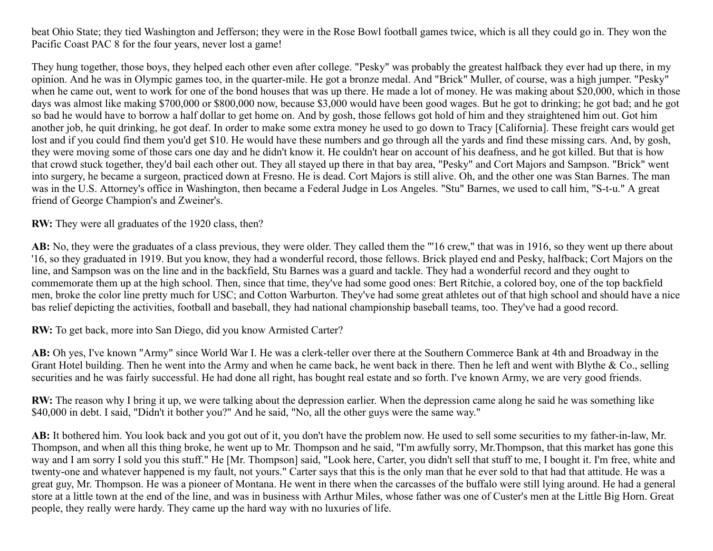beat Ohio State; they tied Washington and Jefferson; they were in the Rose Bowl football games twice, which is all they could go in. They won the Pacific Coast PAC 8 for the four years, never lost a game!

They hung together, those boys, they helped each other even after college. "Pesky" was probably the greatest halfback they ever had up there, in my opinion. And he was in Olympic games too, in the quarter-mile. He got a bronze medal. And "Brick" Muller, of course, was a high jumper. "Pesky" when he came out, went to work for one of the bond houses that was up there. He made a lot of money. He was making about \$20,000, which in those days was almost like making \$700,000 or \$800,000 now, because \$3,000 would have been good wages. But he got to drinking; he got bad; and he got so bad he would have to borrow a half dollar to get home on. And by gosh, those fellows got hold of him and they straightened him out. Got him another job, he quit drinking, he got deaf. In order to make some extra money he used to go down to Tracy [California]. These freight cars would get lost and if you could find them you'd get \$10. He would have these numbers and go through all the yards and find these missing cars. And, by gosh, they were moving some of those cars one day and he didn't know it. He couldn't hear on account of his deafness, and he got killed. But that is how that crowd stuck together, they'd bail each other out. They all stayed up there in that bay area, "Pesky" and Cort Majors and Sampson. "Brick" went into surgery, he became a surgeon, practiced down at Fresno. He is dead. Cort Majors is still alive. Oh, and the other one was Stan Barnes. The man was in the U.S. Attorney's office in Washington, then became a Federal Judge in Los Angeles. "Stu" Barnes, we used to call him, "S-t-u." A great friend of George Champion's and Zweiner's.

**RW:** They were all graduates of the 1920 class, then?

**AB:** No, they were the graduates of a class previous, they were older. They called them the "'16 crew," that was in 1916, so they went up there about '16, so they graduated in 1919. But you know, they had a wonderful record, those fellows. Brick played end and Pesky, halfback; Cort Majors on the line, and Sampson was on the line and in the backfield, Stu Barnes was a guard and tackle. They had a wonderful record and they ought to commemorate them up at the high school. Then, since that time, they've had some good ones: Bert Ritchie, a colored boy, one of the top backfield men, broke the color line pretty much for USC; and Cotton Warburton. They've had some great athletes out of that high school and should have a nice bas relief depicting the activities, football and baseball, they had national championship baseball teams, too. They've had a good record.

**RW:** To get back, more into San Diego, did you know Armisted Carter?

**AB:** Oh yes, I've known "Army" since World War I. He was a clerk-teller over there at the Southern Commerce Bank at 4th and Broadway in the Grant Hotel building. Then he went into the Army and when he came back, he went back in there. Then he left and went with Blythe & Co., selling securities and he was fairly successful. He had done all right, has bought real estate and so forth. I've known Army, we are very good friends.

**RW:** The reason why I bring it up, we were talking about the depression earlier. When the depression came along he said he was something like \$40,000 in debt. I said, "Didn't it bother you?" And he said, "No, all the other guys were the same way."

**AB:** It bothered him. You look back and you got out of it, you don't have the problem now. He used to sell some securities to my father-in-law, Mr. Thompson, and when all this thing broke, he went up to Mr. Thompson and he said, "I'm awfully sorry, Mr.Thompson, that this market has gone this way and I am sorry I sold you this stuff." He [Mr. Thompson] said, "Look here, Carter, you didn't sell that stuff to me, I bought it. I'm free, white and twenty-one and whatever happened is my fault, not yours." Carter says that this is the only man that he ever sold to that had that attitude. He was a great guy, Mr. Thompson. He was a pioneer of Montana. He went in there when the carcasses of the buffalo were still lying around. He had a general store at a little town at the end of the line, and was in business with Arthur Miles, whose father was one of Custer's men at the Little Big Horn. Great people, they really were hardy. They came up the hard way with no luxuries of life.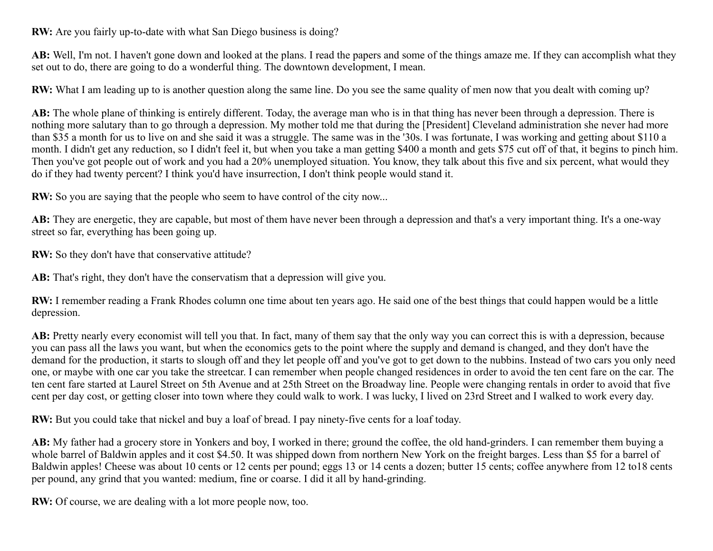**RW:** Are you fairly up-to-date with what San Diego business is doing?

**AB:** Well, I'm not. I haven't gone down and looked at the plans. I read the papers and some of the things amaze me. If they can accomplish what they set out to do, there are going to do a wonderful thing. The downtown development, I mean.

**RW:** What I am leading up to is another question along the same line. Do you see the same quality of men now that you dealt with coming up?

**AB:** The whole plane of thinking is entirely different. Today, the average man who is in that thing has never been through a depression. There is nothing more salutary than to go through a depression. My mother told me that during the [President] Cleveland administration she never had more than \$35 a month for us to live on and she said it was a struggle. The same was in the '30s. I was fortunate, I was working and getting about \$110 a month. I didn't get any reduction, so I didn't feel it, but when you take a man getting \$400 a month and gets \$75 cut off of that, it begins to pinch him. Then you've got people out of work and you had a 20% unemployed situation. You know, they talk about this five and six percent, what would they do if they had twenty percent? I think you'd have insurrection, I don't think people would stand it.

**RW:** So you are saying that the people who seem to have control of the city now...

**AB:** They are energetic, they are capable, but most of them have never been through a depression and that's a very important thing. It's a one-way street so far, everything has been going up.

**RW:** So they don't have that conservative attitude?

**AB:** That's right, they don't have the conservatism that a depression will give you.

**RW:** I remember reading a Frank Rhodes column one time about ten years ago. He said one of the best things that could happen would be a little depression.

AB: Pretty nearly every economist will tell you that. In fact, many of them say that the only way you can correct this is with a depression, because you can pass all the laws you want, but when the economics gets to the point where the supply and demand is changed, and they don't have the demand for the production, it starts to slough off and they let people off and you've got to get down to the nubbins. Instead of two cars you only need one, or maybe with one car you take the streetcar. I can remember when people changed residences in order to avoid the ten cent fare on the car. The ten cent fare started at Laurel Street on 5th Avenue and at 25th Street on the Broadway line. People were changing rentals in order to avoid that five cent per day cost, or getting closer into town where they could walk to work. I was lucky, I lived on 23rd Street and I walked to work every day.

**RW:** But you could take that nickel and buy a loaf of bread. I pay ninety-five cents for a loaf today.

**AB:** My father had a grocery store in Yonkers and boy, I worked in there; ground the coffee, the old hand-grinders. I can remember them buying a whole barrel of Baldwin apples and it cost \$4.50. It was shipped down from northern New York on the freight barges. Less than \$5 for a barrel of Baldwin apples! Cheese was about 10 cents or 12 cents per pound; eggs 13 or 14 cents a dozen; butter 15 cents; coffee anywhere from 12 to18 cents per pound, any grind that you wanted: medium, fine or coarse. I did it all by hand-grinding.

**RW:** Of course, we are dealing with a lot more people now, too.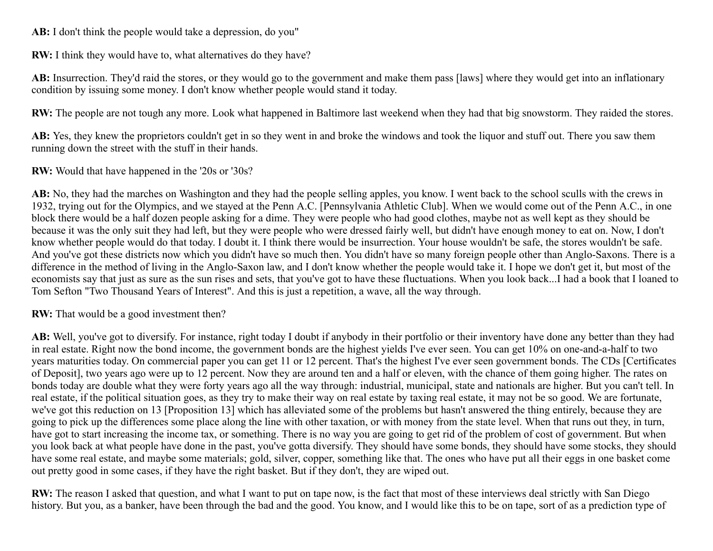**AB:** I don't think the people would take a depression, do you"

**RW:** I think they would have to, what alternatives do they have?

**AB:** Insurrection. They'd raid the stores, or they would go to the government and make them pass [laws] where they would get into an inflationary condition by issuing some money. I don't know whether people would stand it today.

**RW:** The people are not tough any more. Look what happened in Baltimore last weekend when they had that big snowstorm. They raided the stores.

**AB:** Yes, they knew the proprietors couldn't get in so they went in and broke the windows and took the liquor and stuff out. There you saw them running down the street with the stuff in their hands.

**RW:** Would that have happened in the '20s or '30s?

**AB:** No, they had the marches on Washington and they had the people selling apples, you know. I went back to the school sculls with the crews in 1932, trying out for the Olympics, and we stayed at the Penn A.C. [Pennsylvania Athletic Club]. When we would come out of the Penn A.C., in one block there would be a half dozen people asking for a dime. They were people who had good clothes, maybe not as well kept as they should be because it was the only suit they had left, but they were people who were dressed fairly well, but didn't have enough money to eat on. Now, I don't know whether people would do that today. I doubt it. I think there would be insurrection. Your house wouldn't be safe, the stores wouldn't be safe. And you've got these districts now which you didn't have so much then. You didn't have so many foreign people other than Anglo-Saxons. There is a difference in the method of living in the Anglo-Saxon law, and I don't know whether the people would take it. I hope we don't get it, but most of the economists say that just as sure as the sun rises and sets, that you've got to have these fluctuations. When you look back...I had a book that I loaned to Tom Sefton "Two Thousand Years of Interest". And this is just a repetition, a wave, all the way through.

**RW:** That would be a good investment then?

**AB:** Well, you've got to diversify. For instance, right today I doubt if anybody in their portfolio or their inventory have done any better than they had in real estate. Right now the bond income, the government bonds are the highest yields I've ever seen. You can get 10% on one-and-a-half to two years maturities today. On commercial paper you can get 11 or 12 percent. That's the highest I've ever seen government bonds. The CDs [Certificates of Deposit], two years ago were up to 12 percent. Now they are around ten and a half or eleven, with the chance of them going higher. The rates on bonds today are double what they were forty years ago all the way through: industrial, municipal, state and nationals are higher. But you can't tell. In real estate, if the political situation goes, as they try to make their way on real estate by taxing real estate, it may not be so good. We are fortunate, we've got this reduction on 13 [Proposition 13] which has alleviated some of the problems but hasn't answered the thing entirely, because they are going to pick up the differences some place along the line with other taxation, or with money from the state level. When that runs out they, in turn, have got to start increasing the income tax, or something. There is no way you are going to get rid of the problem of cost of government. But when you look back at what people have done in the past, you've gotta diversify. They should have some bonds, they should have some stocks, they should have some real estate, and maybe some materials; gold, silver, copper, something like that. The ones who have put all their eggs in one basket come out pretty good in some cases, if they have the right basket. But if they don't, they are wiped out.

**RW:** The reason I asked that question, and what I want to put on tape now, is the fact that most of these interviews deal strictly with San Diego history. But you, as a banker, have been through the bad and the good. You know, and I would like this to be on tape, sort of as a prediction type of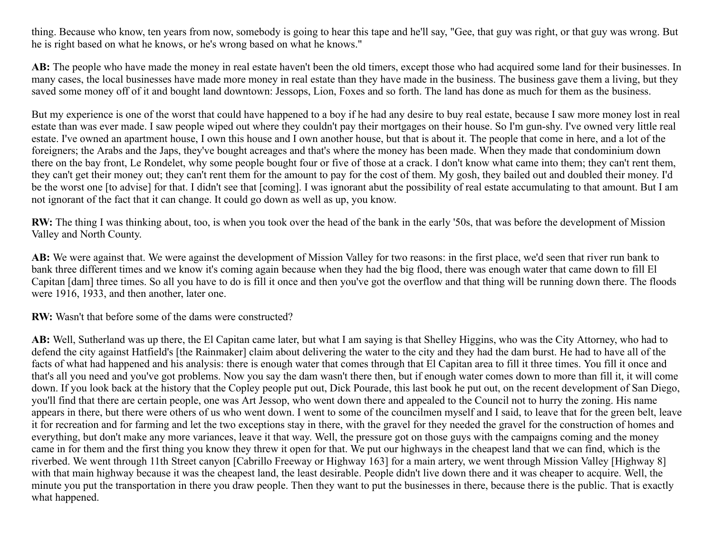thing. Because who know, ten years from now, somebody is going to hear this tape and he'll say, "Gee, that guy was right, or that guy was wrong. But he is right based on what he knows, or he's wrong based on what he knows."

**AB:** The people who have made the money in real estate haven't been the old timers, except those who had acquired some land for their businesses. In many cases, the local businesses have made more money in real estate than they have made in the business. The business gave them a living, but they saved some money off of it and bought land downtown: Jessops, Lion, Foxes and so forth. The land has done as much for them as the business.

But my experience is one of the worst that could have happened to a boy if he had any desire to buy real estate, because I saw more money lost in real estate than was ever made. I saw people wiped out where they couldn't pay their mortgages on their house. So I'm gun-shy. I've owned very little real estate. I've owned an apartment house, I own this house and I own another house, but that is about it. The people that come in here, and a lot of the foreigners; the Arabs and the Japs, they've bought acreages and that's where the money has been made. When they made that condominium down there on the bay front, Le Rondelet, why some people bought four or five of those at a crack. I don't know what came into them; they can't rent them, they can't get their money out; they can't rent them for the amount to pay for the cost of them. My gosh, they bailed out and doubled their money. I'd be the worst one [to advise] for that. I didn't see that [coming]. I was ignorant abut the possibility of real estate accumulating to that amount. But I am not ignorant of the fact that it can change. It could go down as well as up, you know.

**RW:** The thing I was thinking about, too, is when you took over the head of the bank in the early '50s, that was before the development of Mission Valley and North County.

**AB:** We were against that. We were against the development of Mission Valley for two reasons: in the first place, we'd seen that river run bank to bank three different times and we know it's coming again because when they had the big flood, there was enough water that came down to fill El Capitan [dam] three times. So all you have to do is fill it once and then you've got the overflow and that thing will be running down there. The floods were 1916, 1933, and then another, later one.

**RW:** Wasn't that before some of the dams were constructed?

**AB:** Well, Sutherland was up there, the El Capitan came later, but what I am saying is that Shelley Higgins, who was the City Attorney, who had to defend the city against Hatfield's [the Rainmaker] claim about delivering the water to the city and they had the dam burst. He had to have all of the facts of what had happened and his analysis: there is enough water that comes through that El Capitan area to fill it three times. You fill it once and that's all you need and you've got problems. Now you say the dam wasn't there then, but if enough water comes down to more than fill it, it will come down. If you look back at the history that the Copley people put out, Dick Pourade, this last book he put out, on the recent development of San Diego, you'll find that there are certain people, one was Art Jessop, who went down there and appealed to the Council not to hurry the zoning. His name appears in there, but there were others of us who went down. I went to some of the councilmen myself and I said, to leave that for the green belt, leave it for recreation and for farming and let the two exceptions stay in there, with the gravel for they needed the gravel for the construction of homes and everything, but don't make any more variances, leave it that way. Well, the pressure got on those guys with the campaigns coming and the money came in for them and the first thing you know they threw it open for that. We put our highways in the cheapest land that we can find, which is the riverbed. We went through 11th Street canyon [Cabrillo Freeway or Highway 163] for a main artery, we went through Mission Valley [Highway 8] with that main highway because it was the cheapest land, the least desirable. People didn't live down there and it was cheaper to acquire. Well, the minute you put the transportation in there you draw people. Then they want to put the businesses in there, because there is the public. That is exactly what happened.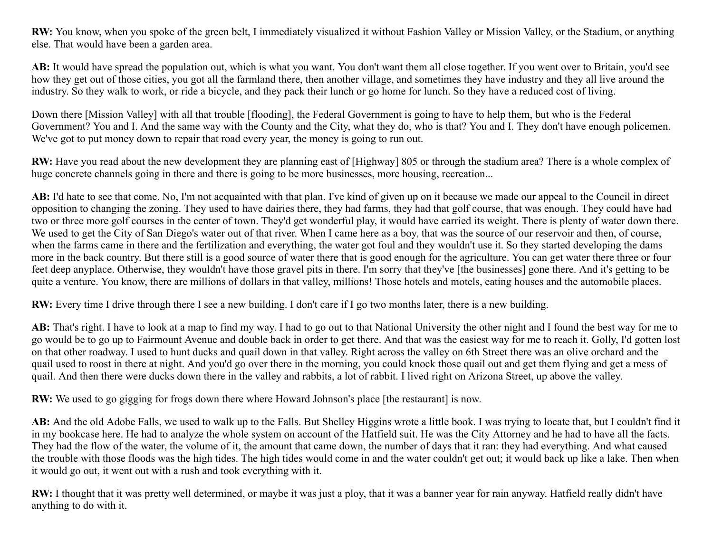**RW:** You know, when you spoke of the green belt, I immediately visualized it without Fashion Valley or Mission Valley, or the Stadium, or anything else. That would have been a garden area.

**AB:** It would have spread the population out, which is what you want. You don't want them all close together. If you went over to Britain, you'd see how they get out of those cities, you got all the farmland there, then another village, and sometimes they have industry and they all live around the industry. So they walk to work, or ride a bicycle, and they pack their lunch or go home for lunch. So they have a reduced cost of living.

Down there [Mission Valley] with all that trouble [flooding], the Federal Government is going to have to help them, but who is the Federal Government? You and I. And the same way with the County and the City, what they do, who is that? You and I. They don't have enough policemen. We've got to put money down to repair that road every year, the money is going to run out.

**RW:** Have you read about the new development they are planning east of [Highway] 805 or through the stadium area? There is a whole complex of huge concrete channels going in there and there is going to be more businesses, more housing, recreation...

**AB:** I'd hate to see that come. No, I'm not acquainted with that plan. I've kind of given up on it because we made our appeal to the Council in direct opposition to changing the zoning. They used to have dairies there, they had farms, they had that golf course, that was enough. They could have had two or three more golf courses in the center of town. They'd get wonderful play, it would have carried its weight. There is plenty of water down there. We used to get the City of San Diego's water out of that river. When I came here as a boy, that was the source of our reservoir and then, of course, when the farms came in there and the fertilization and everything, the water got foul and they wouldn't use it. So they started developing the dams more in the back country. But there still is a good source of water there that is good enough for the agriculture. You can get water there three or four feet deep anyplace. Otherwise, they wouldn't have those gravel pits in there. I'm sorry that they've [the businesses] gone there. And it's getting to be quite a venture. You know, there are millions of dollars in that valley, millions! Those hotels and motels, eating houses and the automobile places.

**RW:** Every time I drive through there I see a new building. I don't care if I go two months later, there is a new building.

AB: That's right. I have to look at a map to find my way. I had to go out to that National University the other night and I found the best way for me to go would be to go up to Fairmount Avenue and double back in order to get there. And that was the easiest way for me to reach it. Golly, I'd gotten lost on that other roadway. I used to hunt ducks and quail down in that valley. Right across the valley on 6th Street there was an olive orchard and the quail used to roost in there at night. And you'd go over there in the morning, you could knock those quail out and get them flying and get a mess of quail. And then there were ducks down there in the valley and rabbits, a lot of rabbit. I lived right on Arizona Street, up above the valley.

**RW:** We used to go gigging for frogs down there where Howard Johnson's place [the restaurant] is now.

AB: And the old Adobe Falls, we used to walk up to the Falls. But Shelley Higgins wrote a little book. I was trying to locate that, but I couldn't find it in my bookcase here. He had to analyze the whole system on account of the Hatfield suit. He was the City Attorney and he had to have all the facts. They had the flow of the water, the volume of it, the amount that came down, the number of days that it ran: they had everything. And what caused the trouble with those floods was the high tides. The high tides would come in and the water couldn't get out; it would back up like a lake. Then when it would go out, it went out with a rush and took everything with it.

**RW:** I thought that it was pretty well determined, or maybe it was just a ploy, that it was a banner year for rain anyway. Hatfield really didn't have anything to do with it.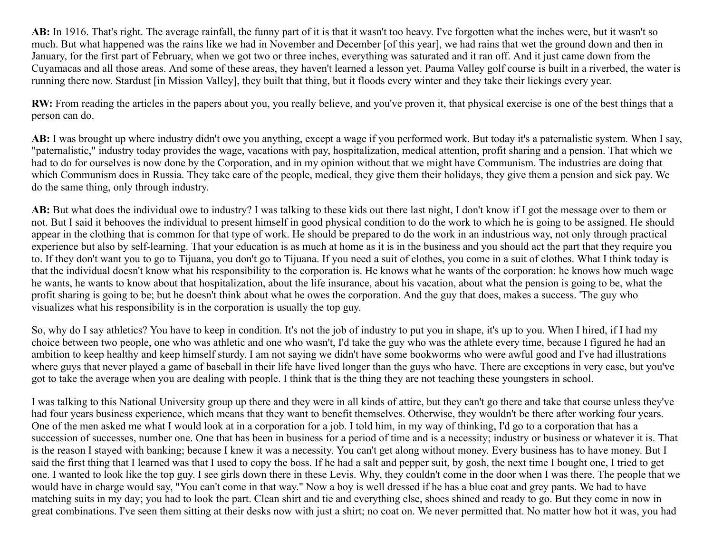**AB:** In 1916. That's right. The average rainfall, the funny part of it is that it wasn't too heavy. I've forgotten what the inches were, but it wasn't so much. But what happened was the rains like we had in November and December [of this year], we had rains that wet the ground down and then in January, for the first part of February, when we got two or three inches, everything was saturated and it ran off. And it just came down from the Cuyamacas and all those areas. And some of these areas, they haven't learned a lesson yet. Pauma Valley golf course is built in a riverbed, the water is running there now. Stardust [in Mission Valley], they built that thing, but it floods every winter and they take their lickings every year.

**RW:** From reading the articles in the papers about you, you really believe, and you've proven it, that physical exercise is one of the best things that a person can do.

**AB:** I was brought up where industry didn't owe you anything, except a wage if you performed work. But today it's a paternalistic system. When I say, "paternalistic," industry today provides the wage, vacations with pay, hospitalization, medical attention, profit sharing and a pension. That which we had to do for ourselves is now done by the Corporation, and in my opinion without that we might have Communism. The industries are doing that which Communism does in Russia. They take care of the people, medical, they give them their holidays, they give them a pension and sick pay. We do the same thing, only through industry.

**AB:** But what does the individual owe to industry? I was talking to these kids out there last night, I don't know if I got the message over to them or not. But I said it behooves the individual to present himself in good physical condition to do the work to which he is going to be assigned. He should appear in the clothing that is common for that type of work. He should be prepared to do the work in an industrious way, not only through practical experience but also by self-learning. That your education is as much at home as it is in the business and you should act the part that they require you to. If they don't want you to go to Tijuana, you don't go to Tijuana. If you need a suit of clothes, you come in a suit of clothes. What I think today is that the individual doesn't know what his responsibility to the corporation is. He knows what he wants of the corporation: he knows how much wage he wants, he wants to know about that hospitalization, about the life insurance, about his vacation, about what the pension is going to be, what the profit sharing is going to be; but he doesn't think about what he owes the corporation. And the guy that does, makes a success. 'The guy who visualizes what his responsibility is in the corporation is usually the top guy.

So, why do I say athletics? You have to keep in condition. It's not the job of industry to put you in shape, it's up to you. When I hired, if I had my choice between two people, one who was athletic and one who wasn't, I'd take the guy who was the athlete every time, because I figured he had an ambition to keep healthy and keep himself sturdy. I am not saying we didn't have some bookworms who were awful good and I've had illustrations where guys that never played a game of baseball in their life have lived longer than the guys who have. There are exceptions in very case, but you've got to take the average when you are dealing with people. I think that is the thing they are not teaching these youngsters in school.

I was talking to this National University group up there and they were in all kinds of attire, but they can't go there and take that course unless they've had four years business experience, which means that they want to benefit themselves. Otherwise, they wouldn't be there after working four years. One of the men asked me what I would look at in a corporation for a job. I told him, in my way of thinking, I'd go to a corporation that has a succession of successes, number one. One that has been in business for a period of time and is a necessity; industry or business or whatever it is. That is the reason I stayed with banking; because I knew it was a necessity. You can't get along without money. Every business has to have money. But I said the first thing that I learned was that I used to copy the boss. If he had a salt and pepper suit, by gosh, the next time I bought one, I tried to get one. I wanted to look like the top guy. I see girls down there in these Levis. Why, they couldn't come in the door when I was there. The people that we would have in charge would say, "You can't come in that way." Now a boy is well dressed if he has a blue coat and grey pants. We had to have matching suits in my day; you had to look the part. Clean shirt and tie and everything else, shoes shined and ready to go. But they come in now in great combinations. I've seen them sitting at their desks now with just a shirt; no coat on. We never permitted that. No matter how hot it was, you had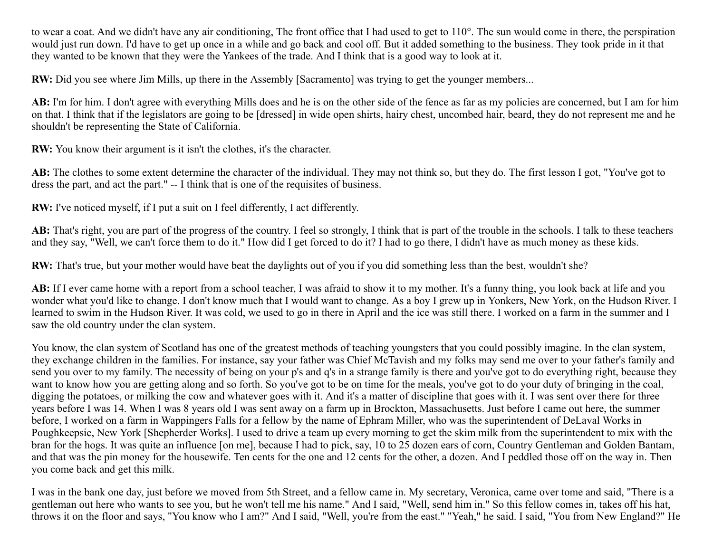to wear a coat. And we didn't have any air conditioning, The front office that I had used to get to 110°. The sun would come in there, the perspiration would just run down. I'd have to get up once in a while and go back and cool off. But it added something to the business. They took pride in it that they wanted to be known that they were the Yankees of the trade. And I think that is a good way to look at it.

**RW:** Did you see where Jim Mills, up there in the Assembly [Sacramento] was trying to get the younger members...

AB: I'm for him. I don't agree with everything Mills does and he is on the other side of the fence as far as my policies are concerned, but I am for him on that. I think that if the legislators are going to be [dressed] in wide open shirts, hairy chest, uncombed hair, beard, they do not represent me and he shouldn't be representing the State of California.

**RW:** You know their argument is it isn't the clothes, it's the character.

**AB:** The clothes to some extent determine the character of the individual. They may not think so, but they do. The first lesson I got, "You've got to dress the part, and act the part." -- I think that is one of the requisites of business.

**RW:** I've noticed myself, if I put a suit on I feel differently, I act differently.

**AB:** That's right, you are part of the progress of the country. I feel so strongly, I think that is part of the trouble in the schools. I talk to these teachers and they say, "Well, we can't force them to do it." How did I get forced to do it? I had to go there, I didn't have as much money as these kids.

**RW:** That's true, but your mother would have beat the daylights out of you if you did something less than the best, wouldn't she?

AB: If I ever came home with a report from a school teacher, I was afraid to show it to my mother. It's a funny thing, you look back at life and you wonder what you'd like to change. I don't know much that I would want to change. As a boy I grew up in Yonkers, New York, on the Hudson River. I learned to swim in the Hudson River. It was cold, we used to go in there in April and the ice was still there. I worked on a farm in the summer and I saw the old country under the clan system.

You know, the clan system of Scotland has one of the greatest methods of teaching youngsters that you could possibly imagine. In the clan system, they exchange children in the families. For instance, say your father was Chief McTavish and my folks may send me over to your father's family and send you over to my family. The necessity of being on your p's and q's in a strange family is there and you've got to do everything right, because they want to know how you are getting along and so forth. So you've got to be on time for the meals, you've got to do your duty of bringing in the coal, digging the potatoes, or milking the cow and whatever goes with it. And it's a matter of discipline that goes with it. I was sent over there for three years before I was 14. When I was 8 years old I was sent away on a farm up in Brockton, Massachusetts. Just before I came out here, the summer before, I worked on a farm in Wappingers Falls for a fellow by the name of Ephram Miller, who was the superintendent of DeLaval Works in Poughkeepsie, New York [Shepherder Works]. I used to drive a team up every morning to get the skim milk from the superintendent to mix with the bran for the hogs. It was quite an influence [on me], because I had to pick, say, 10 to 25 dozen ears of corn, Country Gentleman and Golden Bantam, and that was the pin money for the housewife. Ten cents for the one and 12 cents for the other, a dozen. And I peddled those off on the way in. Then you come back and get this milk.

I was in the bank one day, just before we moved from 5th Street, and a fellow came in. My secretary, Veronica, came over tome and said, "There is a gentleman out here who wants to see you, but he won't tell me his name." And I said, "Well, send him in." So this fellow comes in, takes off his hat, throws it on the floor and says, "You know who I am?" And I said, "Well, you're from the east." "Yeah," he said. I said, "You from New England?" He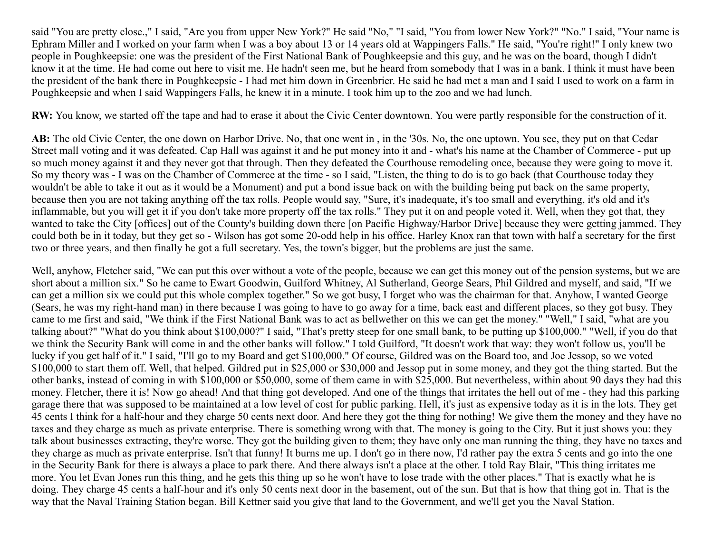said "You are pretty close.," I said, "Are you from upper New York?" He said "No," "I said, "You from lower New York?" "No." I said, "Your name is Ephram Miller and I worked on your farm when I was a boy about 13 or 14 years old at Wappingers Falls." He said, "You're right!" I only knew two people in Poughkeepsie: one was the president of the First National Bank of Poughkeepsie and this guy, and he was on the board, though I didn't know it at the time. He had come out here to visit me. He hadn't seen me, but he heard from somebody that I was in a bank. I think it must have been the president of the bank there in Poughkeepsie - I had met him down in Greenbrier. He said he had met a man and I said I used to work on a farm in Poughkeepsie and when I said Wappingers Falls, he knew it in a minute. I took him up to the zoo and we had lunch.

**RW:** You know, we started off the tape and had to erase it about the Civic Center downtown. You were partly responsible for the construction of it.

**AB:** The old Civic Center, the one down on Harbor Drive. No, that one went in , in the '30s. No, the one uptown. You see, they put on that Cedar Street mall voting and it was defeated. Cap Hall was against it and he put money into it and - what's his name at the Chamber of Commerce - put up so much money against it and they never got that through. Then they defeated the Courthouse remodeling once, because they were going to move it. So my theory was - I was on the Chamber of Commerce at the time - so I said, "Listen, the thing to do is to go back (that Courthouse today they wouldn't be able to take it out as it would be a Monument) and put a bond issue back on with the building being put back on the same property, because then you are not taking anything off the tax rolls. People would say, "Sure, it's inadequate, it's too small and everything, it's old and it's inflammable, but you will get it if you don't take more property off the tax rolls." They put it on and people voted it. Well, when they got that, they wanted to take the City [offices] out of the County's building down there [on Pacific Highway/Harbor Drive] because they were getting jammed. They could both be in it today, but they get so - Wilson has got some 20-odd help in his office. Harley Knox ran that town with half a secretary for the first two or three years, and then finally he got a full secretary. Yes, the town's bigger, but the problems are just the same.

Well, anyhow, Fletcher said, "We can put this over without a vote of the people, because we can get this money out of the pension systems, but we are short about a million six." So he came to Ewart Goodwin, Guilford Whitney, Al Sutherland, George Sears, Phil Gildred and myself, and said, "If we can get a million six we could put this whole complex together." So we got busy, I forget who was the chairman for that. Anyhow, I wanted George (Sears, he was my right-hand man) in there because I was going to have to go away for a time, back east and different places, so they got busy. They came to me first and said, "We think if the First National Bank was to act as bellwether on this we can get the money." "Well," I said, "what are you talking about?" "What do you think about \$100,000?" I said, "That's pretty steep for one small bank, to be putting up \$100,000." "Well, if you do that we think the Security Bank will come in and the other banks will follow." I told Guilford, "It doesn't work that way: they won't follow us, you'll be lucky if you get half of it." I said, "I'll go to my Board and get \$100,000." Of course, Gildred was on the Board too, and Joe Jessop, so we voted \$100,000 to start them off. Well, that helped. Gildred put in \$25,000 or \$30,000 and Jessop put in some money, and they got the thing started. But the other banks, instead of coming in with \$100,000 or \$50,000, some of them came in with \$25,000. But nevertheless, within about 90 days they had this money. Fletcher, there it is! Now go ahead! And that thing got developed. And one of the things that irritates the hell out of me - they had this parking garage there that was supposed to be maintained at a low level of cost for public parking. Hell, it's just as expensive today as it is in the lots. They get 45 cents I think for a half-hour and they charge 50 cents next door. And here they got the thing for nothing! We give them the money and they have no taxes and they charge as much as private enterprise. There is something wrong with that. The money is going to the City. But it just shows you: they talk about businesses extracting, they're worse. They got the building given to them; they have only one man running the thing, they have no taxes and they charge as much as private enterprise. Isn't that funny! It burns me up. I don't go in there now, I'd rather pay the extra 5 cents and go into the one in the Security Bank for there is always a place to park there. And there always isn't a place at the other. I told Ray Blair, "This thing irritates me more. You let Evan Jones run this thing, and he gets this thing up so he won't have to lose trade with the other places." That is exactly what he is doing. They charge 45 cents a half-hour and it's only 50 cents next door in the basement, out of the sun. But that is how that thing got in. That is the way that the Naval Training Station began. Bill Kettner said you give that land to the Government, and we'll get you the Naval Station.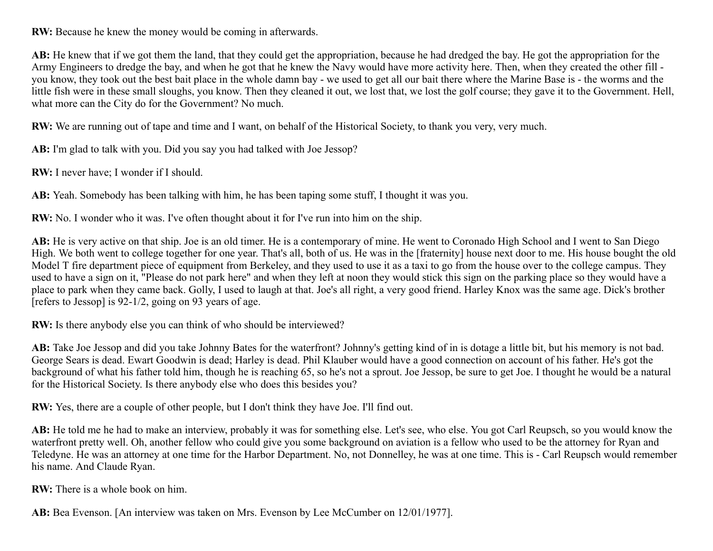**RW:** Because he knew the money would be coming in afterwards.

**AB:** He knew that if we got them the land, that they could get the appropriation, because he had dredged the bay. He got the appropriation for the Army Engineers to dredge the bay, and when he got that he knew the Navy would have more activity here. Then, when they created the other fill you know, they took out the best bait place in the whole damn bay - we used to get all our bait there where the Marine Base is - the worms and the little fish were in these small sloughs, you know. Then they cleaned it out, we lost that, we lost the golf course; they gave it to the Government. Hell, what more can the City do for the Government? No much.

**RW:** We are running out of tape and time and I want, on behalf of the Historical Society, to thank you very, very much.

**AB:** I'm glad to talk with you. Did you say you had talked with Joe Jessop?

**RW:** I never have; I wonder if I should.

**AB:** Yeah. Somebody has been talking with him, he has been taping some stuff, I thought it was you.

**RW:** No. I wonder who it was. I've often thought about it for I've run into him on the ship.

AB: He is very active on that ship. Joe is an old timer. He is a contemporary of mine. He went to Coronado High School and I went to San Diego High. We both went to college together for one year. That's all, both of us. He was in the [fraternity] house next door to me. His house bought the old Model T fire department piece of equipment from Berkeley, and they used to use it as a taxi to go from the house over to the college campus. They used to have a sign on it, "Please do not park here" and when they left at noon they would stick this sign on the parking place so they would have a place to park when they came back. Golly, I used to laugh at that. Joe's all right, a very good friend. Harley Knox was the same age. Dick's brother [refers to Jessop] is 92-1/2, going on 93 years of age.

**RW:** Is there anybody else you can think of who should be interviewed?

AB: Take Joe Jessop and did you take Johnny Bates for the waterfront? Johnny's getting kind of in is dotage a little bit, but his memory is not bad. George Sears is dead. Ewart Goodwin is dead; Harley is dead. Phil Klauber would have a good connection on account of his father. He's got the background of what his father told him, though he is reaching 65, so he's not a sprout. Joe Jessop, be sure to get Joe. I thought he would be a natural for the Historical Society. Is there anybody else who does this besides you?

**RW:** Yes, there are a couple of other people, but I don't think they have Joe. I'll find out.

**AB:** He told me he had to make an interview, probably it was for something else. Let's see, who else. You got Carl Reupsch, so you would know the waterfront pretty well. Oh, another fellow who could give you some background on aviation is a fellow who used to be the attorney for Ryan and Teledyne. He was an attorney at one time for the Harbor Department. No, not Donnelley, he was at one time. This is - Carl Reupsch would remember his name. And Claude Ryan.

**RW:** There is a whole book on him.

AB: Bea Evenson. [An interview was taken on Mrs. Evenson by Lee McCumber on 12/01/1977].